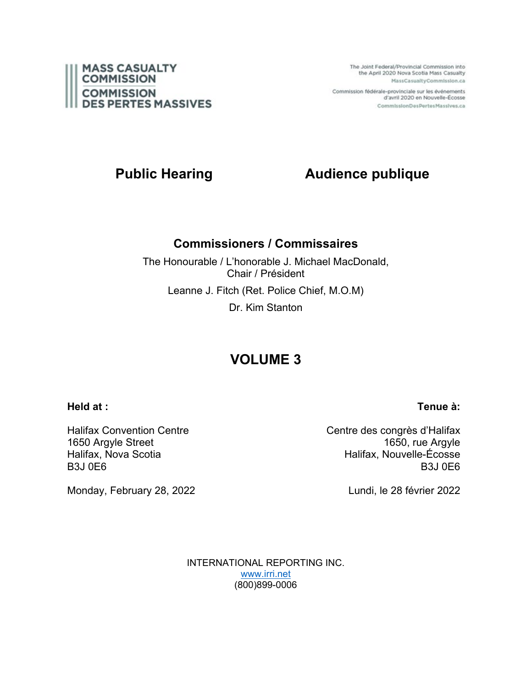

The Joint Federal/Provincial Commission into the April 2020 Nova Scotia Mass Casualty MassCasualtyCommission.ca

Commission fédérale-provinciale sur les événements d'avril 2020 en Nouvelle-Écosse CommissionDesPertesMassives.ca

# **Public Hearing Audience publique**

# **Commissioners / Commissaires**

The Honourable / L'honorable J. Michael MacDonald, Chair / Président Leanne J. Fitch (Ret. Police Chief, M.O.M) Dr. Kim Stanton

# **VOLUME 3**

## **Held at :**

Halifax Convention Centre 1650 Argyle Street Halifax, Nova Scotia B3J 0E6

Monday, February 28, 2022

Centre des congrès d'Halifax 1650, rue Argyle Halifax, Nouvelle-Écosse B3J 0E6

Lundi, le 28 février 2022

INTERNATIONAL REPORTING INC. [www.irri.net](http://www.irri.net/) (800)899-0006

# **Tenue à:**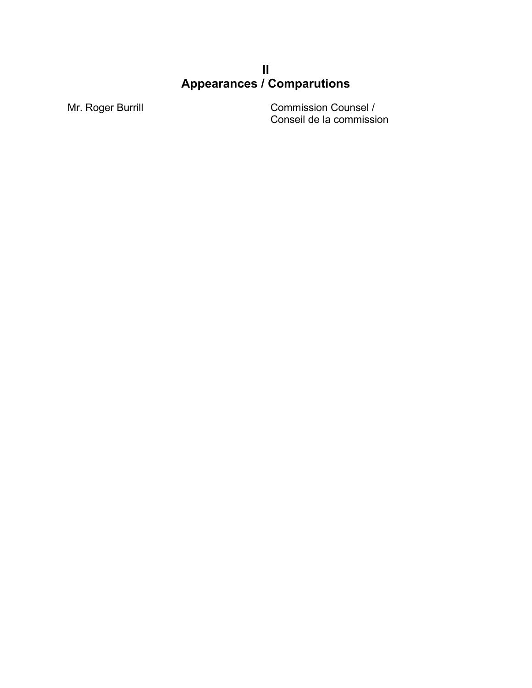# **II Appearances / Comparutions**

Mr. Roger Burrill **Commission Counsel /** Conseil de la commission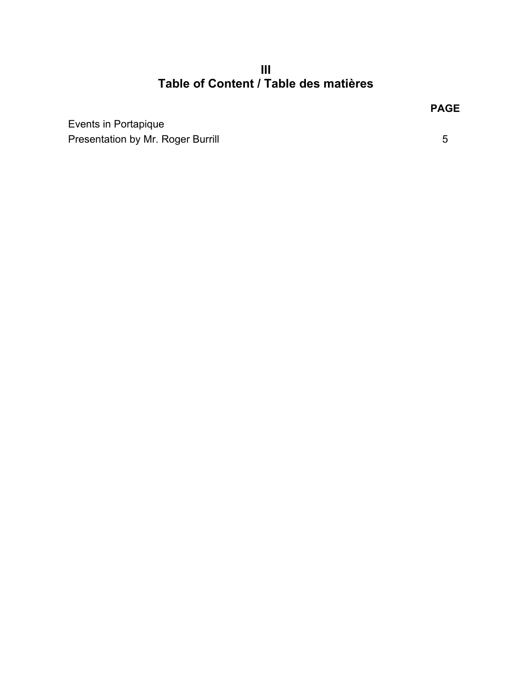**III Table of Content / Table des matières**

Events in Portapique Presentation by Mr. Roger Burrill 6 and 1999 and 1999 and 1999 and 1999 and 1999 and 1999 and 1999 and 1999 and 199

**PAGE**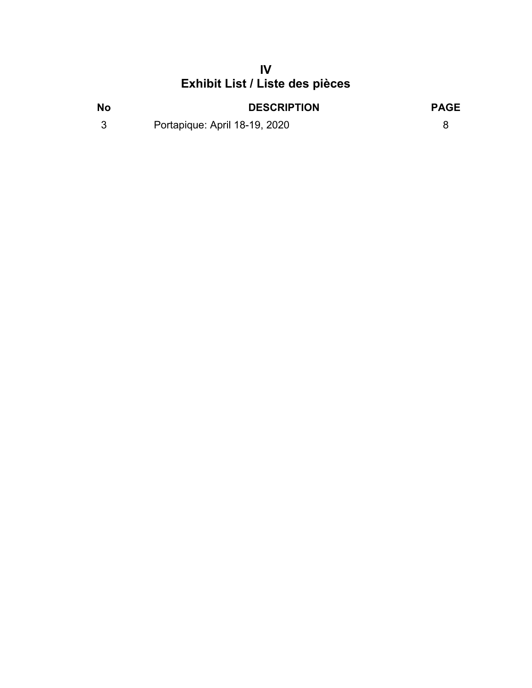# **IV Exhibit List / Liste des pièces**

| <b>No</b> | <b>DESCRIPTION</b>            | <b>PAGE</b> |
|-----------|-------------------------------|-------------|
|           | Portapique: April 18-19, 2020 |             |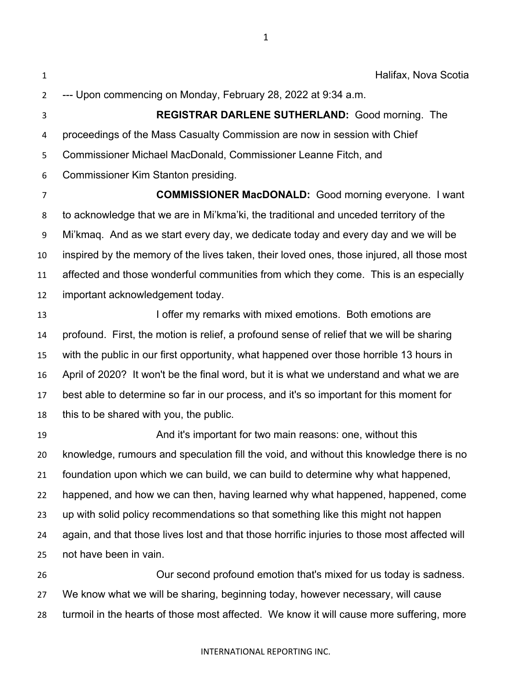Halifax, Nova Scotia --- Upon commencing on Monday, February 28, 2022 at 9:34 a.m.

 **REGISTRAR DARLENE SUTHERLAND:** Good morning. The proceedings of the Mass Casualty Commission are now in session with Chief Commissioner Michael MacDonald, Commissioner Leanne Fitch, and Commissioner Kim Stanton presiding.

 **COMMISSIONER MacDONALD:** Good morning everyone. I want to acknowledge that we are in Mi'kma'ki, the traditional and unceded territory of the Mi'kmaq. And as we start every day, we dedicate today and every day and we will be inspired by the memory of the lives taken, their loved ones, those injured, all those most affected and those wonderful communities from which they come. This is an especially important acknowledgement today.

**I offer my remarks with mixed emotions.** Both emotions are profound. First, the motion is relief, a profound sense of relief that we will be sharing with the public in our first opportunity, what happened over those horrible 13 hours in April of 2020? It won't be the final word, but it is what we understand and what we are best able to determine so far in our process, and it's so important for this moment for this to be shared with you, the public.

 And it's important for two main reasons: one, without this knowledge, rumours and speculation fill the void, and without this knowledge there is no foundation upon which we can build, we can build to determine why what happened, happened, and how we can then, having learned why what happened, happened, come up with solid policy recommendations so that something like this might not happen again, and that those lives lost and that those horrific injuries to those most affected will not have been in vain.

 Our second profound emotion that's mixed for us today is sadness. We know what we will be sharing, beginning today, however necessary, will cause turmoil in the hearts of those most affected. We know it will cause more suffering, more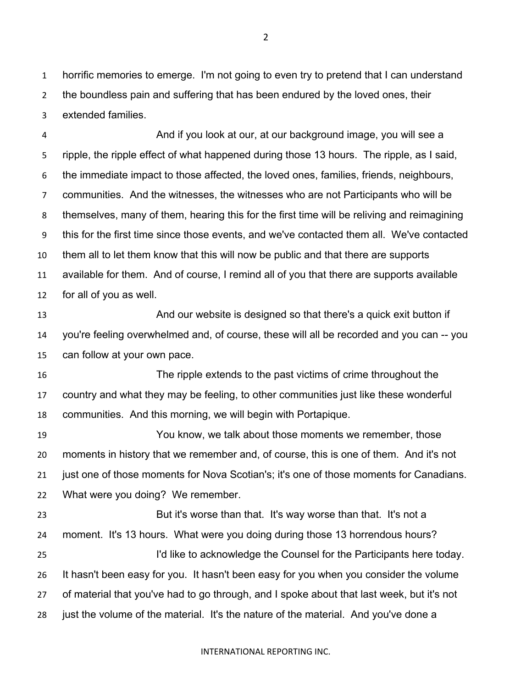horrific memories to emerge. I'm not going to even try to pretend that I can understand the boundless pain and suffering that has been endured by the loved ones, their extended families.

 And if you look at our, at our background image, you will see a ripple, the ripple effect of what happened during those 13 hours. The ripple, as I said, the immediate impact to those affected, the loved ones, families, friends, neighbours, communities. And the witnesses, the witnesses who are not Participants who will be themselves, many of them, hearing this for the first time will be reliving and reimagining this for the first time since those events, and we've contacted them all. We've contacted them all to let them know that this will now be public and that there are supports available for them. And of course, I remind all of you that there are supports available for all of you as well.

13 And our website is designed so that there's a quick exit button if you're feeling overwhelmed and, of course, these will all be recorded and you can -- you can follow at your own pace.

 The ripple extends to the past victims of crime throughout the country and what they may be feeling, to other communities just like these wonderful communities. And this morning, we will begin with Portapique.

 You know, we talk about those moments we remember, those moments in history that we remember and, of course, this is one of them. And it's not just one of those moments for Nova Scotian's; it's one of those moments for Canadians. What were you doing? We remember.

 But it's worse than that. It's way worse than that. It's not a moment. It's 13 hours. What were you doing during those 13 horrendous hours? I'd like to acknowledge the Counsel for the Participants here today. It hasn't been easy for you. It hasn't been easy for you when you consider the volume of material that you've had to go through, and I spoke about that last week, but it's not just the volume of the material. It's the nature of the material. And you've done a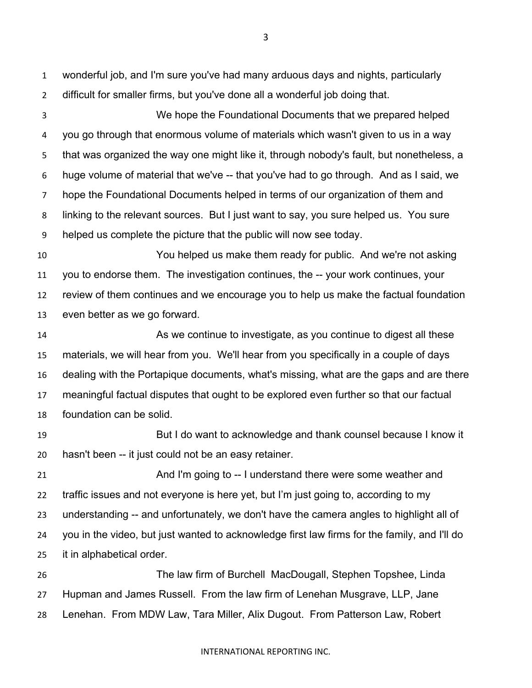wonderful job, and I'm sure you've had many arduous days and nights, particularly difficult for smaller firms, but you've done all a wonderful job doing that.

 We hope the Foundational Documents that we prepared helped you go through that enormous volume of materials which wasn't given to us in a way that was organized the way one might like it, through nobody's fault, but nonetheless, a huge volume of material that we've -- that you've had to go through. And as I said, we hope the Foundational Documents helped in terms of our organization of them and linking to the relevant sources. But I just want to say, you sure helped us. You sure helped us complete the picture that the public will now see today.

 You helped us make them ready for public. And we're not asking you to endorse them. The investigation continues, the -- your work continues, your review of them continues and we encourage you to help us make the factual foundation even better as we go forward.

 As we continue to investigate, as you continue to digest all these materials, we will hear from you. We'll hear from you specifically in a couple of days dealing with the Portapique documents, what's missing, what are the gaps and are there meaningful factual disputes that ought to be explored even further so that our factual foundation can be solid.

 But I do want to acknowledge and thank counsel because I know it hasn't been -- it just could not be an easy retainer.

 And I'm going to -- I understand there were some weather and traffic issues and not everyone is here yet, but I'm just going to, according to my understanding -- and unfortunately, we don't have the camera angles to highlight all of you in the video, but just wanted to acknowledge first law firms for the family, and I'll do it in alphabetical order.

 The law firm of Burchell MacDougall, Stephen Topshee, Linda Hupman and James Russell. From the law firm of Lenehan Musgrave, LLP, Jane Lenehan. From MDW Law, Tara Miller, Alix Dugout. From Patterson Law, Robert

#### INTERNATIONAL REPORTING INC.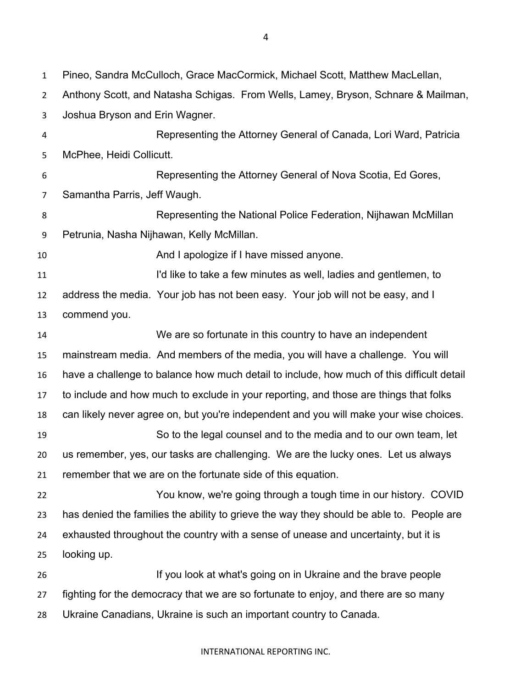Pineo, Sandra McCulloch, Grace MacCormick, Michael Scott, Matthew MacLellan, Anthony Scott, and Natasha Schigas. From Wells, Lamey, Bryson, Schnare & Mailman, Joshua Bryson and Erin Wagner. Representing the Attorney General of Canada, Lori Ward, Patricia McPhee, Heidi Collicutt. Representing the Attorney General of Nova Scotia, Ed Gores, Samantha Parris, Jeff Waugh. Representing the National Police Federation, Nijhawan McMillan Petrunia, Nasha Nijhawan, Kelly McMillan. **And I apologize if I have missed anyone.**  I'd like to take a few minutes as well, ladies and gentlemen, to address the media. Your job has not been easy. Your job will not be easy, and I commend you. We are so fortunate in this country to have an independent mainstream media. And members of the media, you will have a challenge. You will have a challenge to balance how much detail to include, how much of this difficult detail to include and how much to exclude in your reporting, and those are things that folks can likely never agree on, but you're independent and you will make your wise choices. So to the legal counsel and to the media and to our own team, let us remember, yes, our tasks are challenging. We are the lucky ones. Let us always remember that we are on the fortunate side of this equation. You know, we're going through a tough time in our history. COVID has denied the families the ability to grieve the way they should be able to. People are exhausted throughout the country with a sense of unease and uncertainty, but it is looking up. If you look at what's going on in Ukraine and the brave people fighting for the democracy that we are so fortunate to enjoy, and there are so many Ukraine Canadians, Ukraine is such an important country to Canada.

INTERNATIONAL REPORTING INC.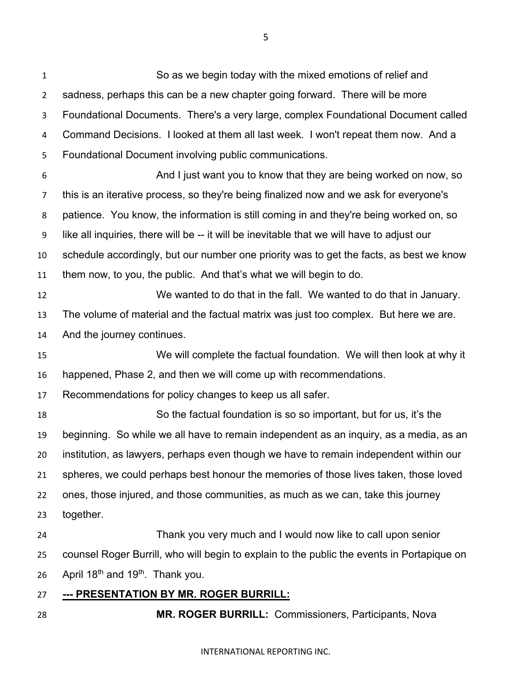So as we begin today with the mixed emotions of relief and sadness, perhaps this can be a new chapter going forward. There will be more Foundational Documents. There's a very large, complex Foundational Document called Command Decisions. I looked at them all last week. I won't repeat them now. And a Foundational Document involving public communications. And I just want you to know that they are being worked on now, so this is an iterative process, so they're being finalized now and we ask for everyone's patience. You know, the information is still coming in and they're being worked on, so like all inquiries, there will be -- it will be inevitable that we will have to adjust our schedule accordingly, but our number one priority was to get the facts, as best we know them now, to you, the public. And that's what we will begin to do. We wanted to do that in the fall. We wanted to do that in January. The volume of material and the factual matrix was just too complex. But here we are. And the journey continues. We will complete the factual foundation. We will then look at why it happened, Phase 2, and then we will come up with recommendations. Recommendations for policy changes to keep us all safer. So the factual foundation is so so important, but for us, it's the beginning. So while we all have to remain independent as an inquiry, as a media, as an institution, as lawyers, perhaps even though we have to remain independent within our spheres, we could perhaps best honour the memories of those lives taken, those loved ones, those injured, and those communities, as much as we can, take this journey together. Thank you very much and I would now like to call upon senior counsel Roger Burrill, who will begin to explain to the public the events in Portapique on 26 April  $18<sup>th</sup>$  and  $19<sup>th</sup>$ . Thank you. **--- PRESENTATION BY MR. ROGER BURRILL: MR. ROGER BURRILL:** Commissioners, Participants, Nova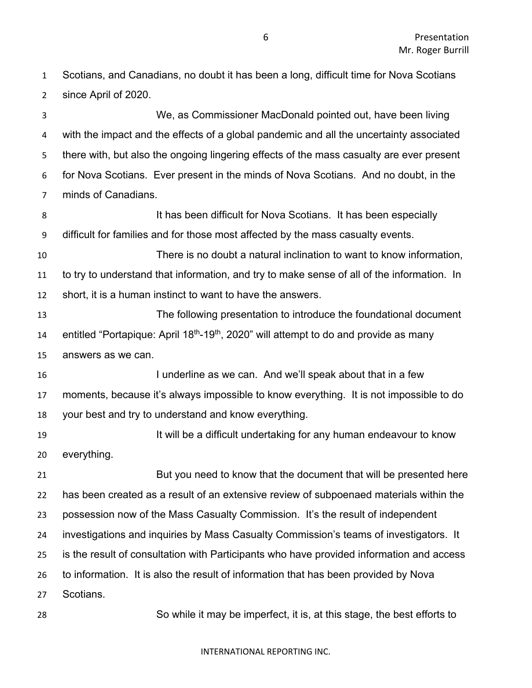Scotians, and Canadians, no doubt it has been a long, difficult time for Nova Scotians since April of 2020.

 We, as Commissioner MacDonald pointed out, have been living with the impact and the effects of a global pandemic and all the uncertainty associated there with, but also the ongoing lingering effects of the mass casualty are ever present for Nova Scotians. Ever present in the minds of Nova Scotians. And no doubt, in the minds of Canadians.

8 It has been difficult for Nova Scotians. It has been especially difficult for families and for those most affected by the mass casualty events.

 There is no doubt a natural inclination to want to know information, to try to understand that information, and try to make sense of all of the information. In short, it is a human instinct to want to have the answers.

 The following presentation to introduce the foundational document 14 entitled "Portapique: April  $18<sup>th</sup>$ -19<sup>th</sup>, 2020" will attempt to do and provide as many answers as we can.

**I underline as we can.** And we'll speak about that in a few moments, because it's always impossible to know everything. It is not impossible to do your best and try to understand and know everything.

**It will be a difficult undertaking for any human endeavour to know** everything.

 But you need to know that the document that will be presented here has been created as a result of an extensive review of subpoenaed materials within the possession now of the Mass Casualty Commission. It's the result of independent investigations and inquiries by Mass Casualty Commission's teams of investigators. It is the result of consultation with Participants who have provided information and access to information. It is also the result of information that has been provided by Nova Scotians.

So while it may be imperfect, it is, at this stage, the best efforts to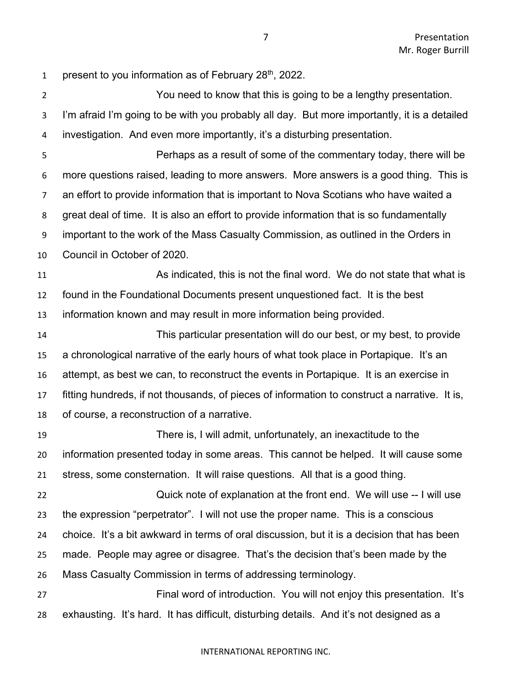1 present to you information as of February  $28<sup>th</sup>$ , 2022.

 You need to know that this is going to be a lengthy presentation. I'm afraid I'm going to be with you probably all day. But more importantly, it is a detailed investigation. And even more importantly, it's a disturbing presentation.

 Perhaps as a result of some of the commentary today, there will be more questions raised, leading to more answers. More answers is a good thing. This is an effort to provide information that is important to Nova Scotians who have waited a great deal of time. It is also an effort to provide information that is so fundamentally important to the work of the Mass Casualty Commission, as outlined in the Orders in Council in October of 2020.

 As indicated, this is not the final word. We do not state that what is found in the Foundational Documents present unquestioned fact. It is the best information known and may result in more information being provided.

 This particular presentation will do our best, or my best, to provide a chronological narrative of the early hours of what took place in Portapique. It's an attempt, as best we can, to reconstruct the events in Portapique. It is an exercise in fitting hundreds, if not thousands, of pieces of information to construct a narrative. It is, of course, a reconstruction of a narrative.

 There is, I will admit, unfortunately, an inexactitude to the information presented today in some areas. This cannot be helped. It will cause some stress, some consternation. It will raise questions. All that is a good thing.

 Quick note of explanation at the front end. We will use -- I will use the expression "perpetrator". I will not use the proper name. This is a conscious choice. It's a bit awkward in terms of oral discussion, but it is a decision that has been made. People may agree or disagree. That's the decision that's been made by the Mass Casualty Commission in terms of addressing terminology.

 Final word of introduction. You will not enjoy this presentation. It's exhausting. It's hard. It has difficult, disturbing details. And it's not designed as a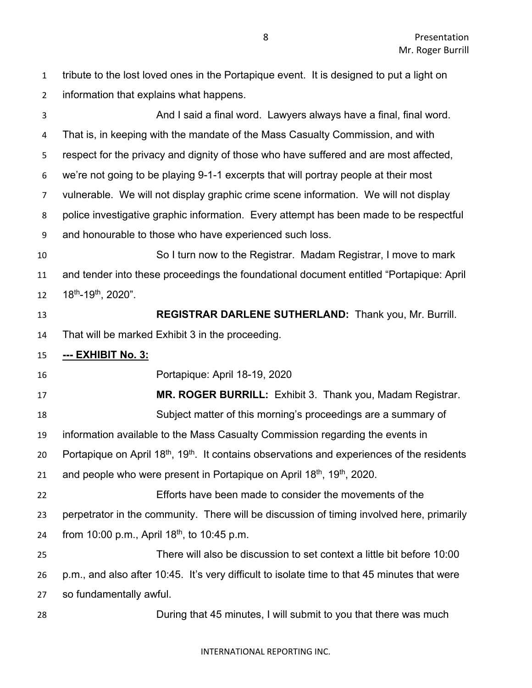tribute to the lost loved ones in the Portapique event. It is designed to put a light on information that explains what happens.

 And I said a final word. Lawyers always have a final, final word. That is, in keeping with the mandate of the Mass Casualty Commission, and with respect for the privacy and dignity of those who have suffered and are most affected, we're not going to be playing 9-1-1 excerpts that will portray people at their most vulnerable. We will not display graphic crime scene information. We will not display police investigative graphic information. Every attempt has been made to be respectful and honourable to those who have experienced such loss. So I turn now to the Registrar. Madam Registrar, I move to mark and tender into these proceedings the foundational document entitled "Portapique: April  $18^{th}$ -19<sup>th</sup>, 2020". **REGISTRAR DARLENE SUTHERLAND:** Thank you, Mr. Burrill. That will be marked Exhibit 3 in the proceeding. **--- EXHIBIT No. 3:** Portapique: April 18-19, 2020 **MR. ROGER BURRILL:** Exhibit 3. Thank you, Madam Registrar. Subject matter of this morning's proceedings are a summary of information available to the Mass Casualty Commission regarding the events in 20 Portapique on April  $18<sup>th</sup>$ ,  $19<sup>th</sup>$ . It contains observations and experiences of the residents 21 and people who were present in Portapique on April  $18<sup>th</sup>$ ,  $19<sup>th</sup>$ , 2020. Efforts have been made to consider the movements of the perpetrator in the community. There will be discussion of timing involved here, primarily 24 from 10:00 p.m., April  $18^{th}$ , to 10:45 p.m. There will also be discussion to set context a little bit before 10:00 p.m., and also after 10:45. It's very difficult to isolate time to that 45 minutes that were so fundamentally awful. During that 45 minutes, I will submit to you that there was much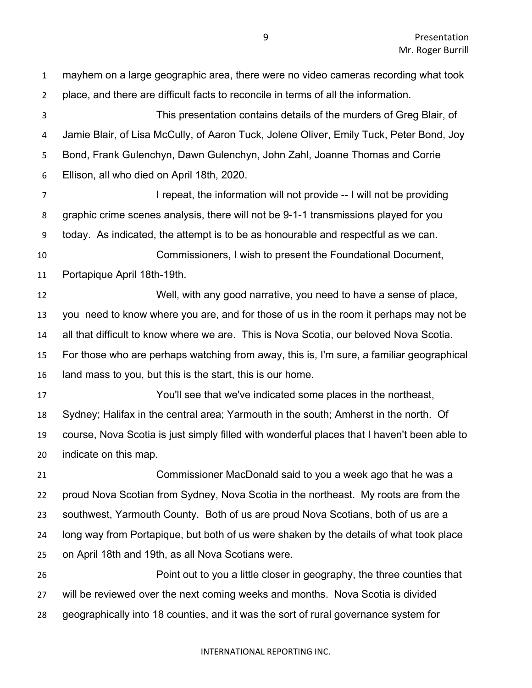mayhem on a large geographic area, there were no video cameras recording what took place, and there are difficult facts to reconcile in terms of all the information. This presentation contains details of the murders of Greg Blair, of Jamie Blair, of Lisa McCully, of Aaron Tuck, Jolene Oliver, Emily Tuck, Peter Bond, Joy Bond, Frank Gulenchyn, Dawn Gulenchyn, John Zahl, Joanne Thomas and Corrie Ellison, all who died on April 18th, 2020. **I** repeat, the information will not provide -- I will not be providing graphic crime scenes analysis, there will not be 9-1-1 transmissions played for you today. As indicated, the attempt is to be as honourable and respectful as we can. Commissioners, I wish to present the Foundational Document, Portapique April 18th-19th. Well, with any good narrative, you need to have a sense of place, you need to know where you are, and for those of us in the room it perhaps may not be all that difficult to know where we are. This is Nova Scotia, our beloved Nova Scotia. For those who are perhaps watching from away, this is, I'm sure, a familiar geographical land mass to you, but this is the start, this is our home. You'll see that we've indicated some places in the northeast, Sydney; Halifax in the central area; Yarmouth in the south; Amherst in the north. Of course, Nova Scotia is just simply filled with wonderful places that I haven't been able to indicate on this map. Commissioner MacDonald said to you a week ago that he was a proud Nova Scotian from Sydney, Nova Scotia in the northeast. My roots are from the southwest, Yarmouth County. Both of us are proud Nova Scotians, both of us are a long way from Portapique, but both of us were shaken by the details of what took place on April 18th and 19th, as all Nova Scotians were. Point out to you a little closer in geography, the three counties that will be reviewed over the next coming weeks and months. Nova Scotia is divided geographically into 18 counties, and it was the sort of rural governance system for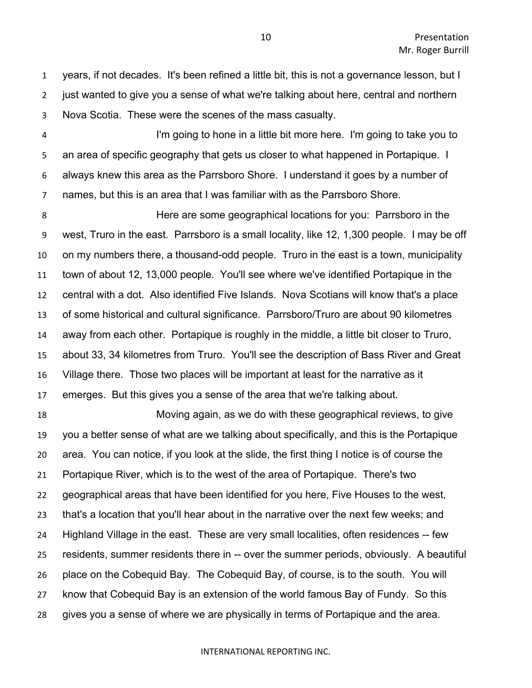years, if not decades. It's been refined a little bit, this is not a governance lesson, but I just wanted to give you a sense of what we're talking about here, central and northern Nova Scotia. These were the scenes of the mass casualty.

 I'm going to hone in a little bit more here. I'm going to take you to an area of specific geography that gets us closer to what happened in Portapique. I always knew this area as the Parrsboro Shore. I understand it goes by a number of names, but this is an area that I was familiar with as the Parrsboro Shore.

 Here are some geographical locations for you: Parrsboro in the west, Truro in the east. Parrsboro is a small locality, like 12, 1,300 people. I may be off on my numbers there, a thousand-odd people. Truro in the east is a town, municipality town of about 12, 13,000 people. You'll see where we've identified Portapique in the central with a dot. Also identified Five Islands. Nova Scotians will know that's a place of some historical and cultural significance. Parrsboro/Truro are about 90 kilometres away from each other. Portapique is roughly in the middle, a little bit closer to Truro, about 33, 34 kilometres from Truro. You'll see the description of Bass River and Great Village there. Those two places will be important at least for the narrative as it emerges. But this gives you a sense of the area that we're talking about.

 Moving again, as we do with these geographical reviews, to give you a better sense of what are we talking about specifically, and this is the Portapique area. You can notice, if you look at the slide, the first thing I notice is of course the Portapique River, which is to the west of the area of Portapique. There's two geographical areas that have been identified for you here, Five Houses to the west, that's a location that you'll hear about in the narrative over the next few weeks; and Highland Village in the east. These are very small localities, often residences -- few residents, summer residents there in -- over the summer periods, obviously. A beautiful place on the Cobequid Bay. The Cobequid Bay, of course, is to the south. You will know that Cobequid Bay is an extension of the world famous Bay of Fundy. So this gives you a sense of where we are physically in terms of Portapique and the area.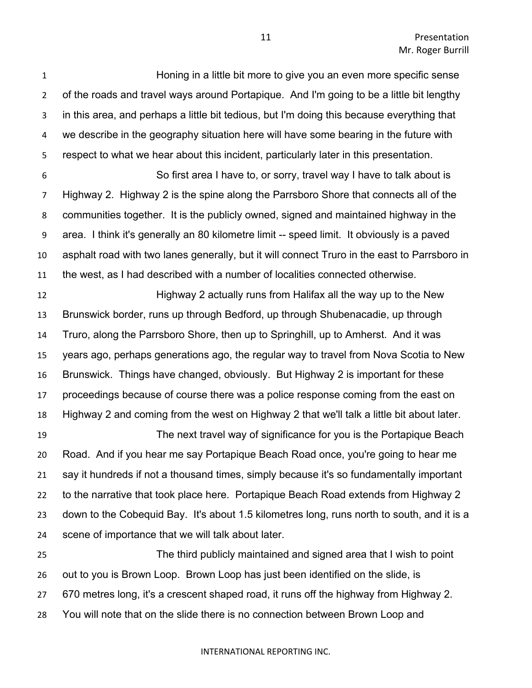Honing in a little bit more to give you an even more specific sense of the roads and travel ways around Portapique. And I'm going to be a little bit lengthy in this area, and perhaps a little bit tedious, but I'm doing this because everything that we describe in the geography situation here will have some bearing in the future with respect to what we hear about this incident, particularly later in this presentation.

 So first area I have to, or sorry, travel way I have to talk about is Highway 2. Highway 2 is the spine along the Parrsboro Shore that connects all of the communities together. It is the publicly owned, signed and maintained highway in the area. I think it's generally an 80 kilometre limit -- speed limit. It obviously is a paved asphalt road with two lanes generally, but it will connect Truro in the east to Parrsboro in the west, as I had described with a number of localities connected otherwise.

 Highway 2 actually runs from Halifax all the way up to the New Brunswick border, runs up through Bedford, up through Shubenacadie, up through Truro, along the Parrsboro Shore, then up to Springhill, up to Amherst. And it was years ago, perhaps generations ago, the regular way to travel from Nova Scotia to New Brunswick. Things have changed, obviously. But Highway 2 is important for these proceedings because of course there was a police response coming from the east on Highway 2 and coming from the west on Highway 2 that we'll talk a little bit about later.

 The next travel way of significance for you is the Portapique Beach Road. And if you hear me say Portapique Beach Road once, you're going to hear me say it hundreds if not a thousand times, simply because it's so fundamentally important to the narrative that took place here. Portapique Beach Road extends from Highway 2 down to the Cobequid Bay. It's about 1.5 kilometres long, runs north to south, and it is a scene of importance that we will talk about later.

 The third publicly maintained and signed area that I wish to point out to you is Brown Loop. Brown Loop has just been identified on the slide, is 670 metres long, it's a crescent shaped road, it runs off the highway from Highway 2. You will note that on the slide there is no connection between Brown Loop and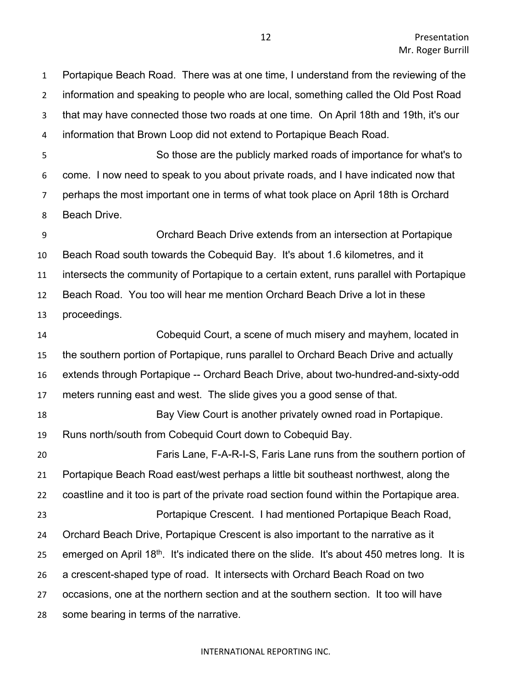Portapique Beach Road. There was at one time, I understand from the reviewing of the information and speaking to people who are local, something called the Old Post Road that may have connected those two roads at one time. On April 18th and 19th, it's our information that Brown Loop did not extend to Portapique Beach Road.

 So those are the publicly marked roads of importance for what's to come. I now need to speak to you about private roads, and I have indicated now that perhaps the most important one in terms of what took place on April 18th is Orchard Beach Drive.

 Orchard Beach Drive extends from an intersection at Portapique Beach Road south towards the Cobequid Bay. It's about 1.6 kilometres, and it intersects the community of Portapique to a certain extent, runs parallel with Portapique Beach Road. You too will hear me mention Orchard Beach Drive a lot in these proceedings.

 Cobequid Court, a scene of much misery and mayhem, located in the southern portion of Portapique, runs parallel to Orchard Beach Drive and actually extends through Portapique -- Orchard Beach Drive, about two-hundred-and-sixty-odd meters running east and west. The slide gives you a good sense of that. Bay View Court is another privately owned road in Portapique. Runs north/south from Cobequid Court down to Cobequid Bay. Faris Lane, F-A-R-I-S, Faris Lane runs from the southern portion of Portapique Beach Road east/west perhaps a little bit southeast northwest, along the coastline and it too is part of the private road section found within the Portapique area. Portapique Crescent. I had mentioned Portapique Beach Road, Orchard Beach Drive, Portapique Crescent is also important to the narrative as it 25 emerged on April  $18<sup>th</sup>$ . It's indicated there on the slide. It's about 450 metres long. It is a crescent-shaped type of road. It intersects with Orchard Beach Road on two occasions, one at the northern section and at the southern section. It too will have some bearing in terms of the narrative.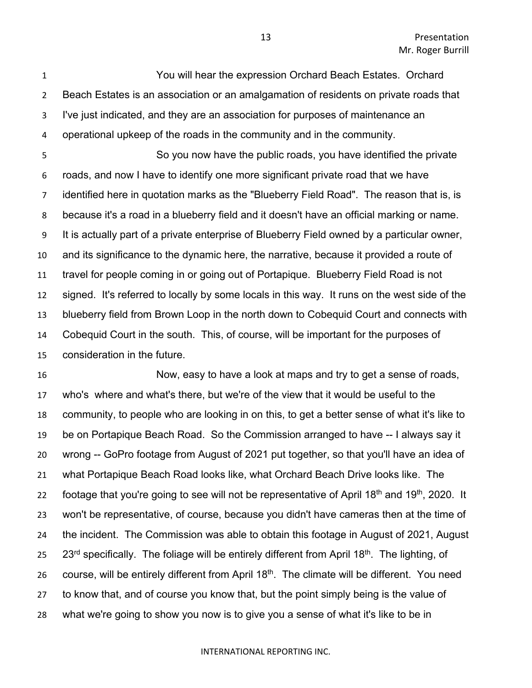You will hear the expression Orchard Beach Estates. Orchard Beach Estates is an association or an amalgamation of residents on private roads that I've just indicated, and they are an association for purposes of maintenance an operational upkeep of the roads in the community and in the community.

 So you now have the public roads, you have identified the private roads, and now I have to identify one more significant private road that we have identified here in quotation marks as the "Blueberry Field Road". The reason that is, is because it's a road in a blueberry field and it doesn't have an official marking or name. It is actually part of a private enterprise of Blueberry Field owned by a particular owner, and its significance to the dynamic here, the narrative, because it provided a route of travel for people coming in or going out of Portapique. Blueberry Field Road is not signed. It's referred to locally by some locals in this way. It runs on the west side of the blueberry field from Brown Loop in the north down to Cobequid Court and connects with Cobequid Court in the south. This, of course, will be important for the purposes of consideration in the future.

 Now, easy to have a look at maps and try to get a sense of roads, who's where and what's there, but we're of the view that it would be useful to the community, to people who are looking in on this, to get a better sense of what it's like to be on Portapique Beach Road. So the Commission arranged to have -- I always say it wrong -- GoPro footage from August of 2021 put together, so that you'll have an idea of what Portapique Beach Road looks like, what Orchard Beach Drive looks like. The 22 footage that you're going to see will not be representative of April 18<sup>th</sup> and 19<sup>th</sup>, 2020. It won't be representative, of course, because you didn't have cameras then at the time of the incident. The Commission was able to obtain this footage in August of 2021, August 25 23<sup>rd</sup> specifically. The foliage will be entirely different from April 18<sup>th</sup>. The lighting, of 26 course, will be entirely different from April  $18<sup>th</sup>$ . The climate will be different. You need to know that, and of course you know that, but the point simply being is the value of what we're going to show you now is to give you a sense of what it's like to be in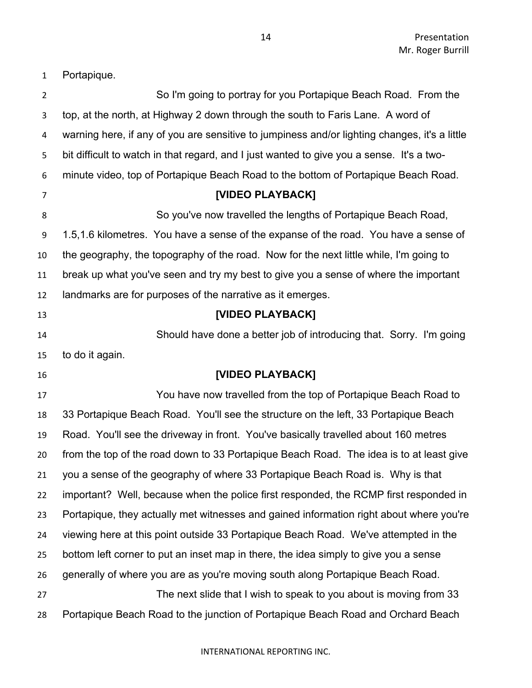Portapique.

| $\overline{2}$ | So I'm going to portray for you Portapique Beach Road. From the                               |
|----------------|-----------------------------------------------------------------------------------------------|
| 3              | top, at the north, at Highway 2 down through the south to Faris Lane. A word of               |
| 4              | warning here, if any of you are sensitive to jumpiness and/or lighting changes, it's a little |
| 5              | bit difficult to watch in that regard, and I just wanted to give you a sense. It's a two-     |
| 6              | minute video, top of Portapique Beach Road to the bottom of Portapique Beach Road.            |
| 7              | [VIDEO PLAYBACK]                                                                              |
| 8              | So you've now travelled the lengths of Portapique Beach Road,                                 |
| 9              | 1.5,1.6 kilometres. You have a sense of the expanse of the road. You have a sense of          |
| 10             | the geography, the topography of the road. Now for the next little while, I'm going to        |
| 11             | break up what you've seen and try my best to give you a sense of where the important          |
| 12             | landmarks are for purposes of the narrative as it emerges.                                    |
| 13             | [VIDEO PLAYBACK]                                                                              |
| 14             | Should have done a better job of introducing that. Sorry. I'm going                           |
| 15             | to do it again.                                                                               |
| 16             | [VIDEO PLAYBACK]                                                                              |
| 17             | You have now travelled from the top of Portapique Beach Road to                               |
| 18             | 33 Portapique Beach Road. You'll see the structure on the left, 33 Portapique Beach           |
| 19             | Road. You'll see the driveway in front. You've basically travelled about 160 metres           |
| 20             | from the top of the road down to 33 Portapique Beach Road. The idea is to at least give       |
| 21             | you a sense of the geography of where 33 Portapique Beach Road is. Why is that                |
| 22             | important? Well, because when the police first responded, the RCMP first responded in         |
| 23             | Portapique, they actually met witnesses and gained information right about where you're       |
| 24             | viewing here at this point outside 33 Portapique Beach Road. We've attempted in the           |
| 25             | bottom left corner to put an inset map in there, the idea simply to give you a sense          |
| 26             | generally of where you are as you're moving south along Portapique Beach Road.                |
| 27             | The next slide that I wish to speak to you about is moving from 33                            |
| 28             | Portapique Beach Road to the junction of Portapique Beach Road and Orchard Beach              |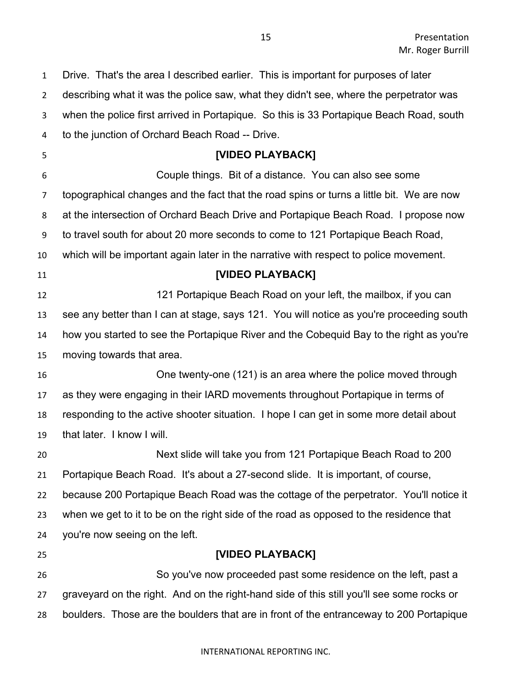Drive. That's the area I described earlier. This is important for purposes of later describing what it was the police saw, what they didn't see, where the perpetrator was when the police first arrived in Portapique. So this is 33 Portapique Beach Road, south to the junction of Orchard Beach Road -- Drive. **[VIDEO PLAYBACK]** Couple things. Bit of a distance. You can also see some topographical changes and the fact that the road spins or turns a little bit. We are now at the intersection of Orchard Beach Drive and Portapique Beach Road. I propose now to travel south for about 20 more seconds to come to 121 Portapique Beach Road, which will be important again later in the narrative with respect to police movement. **[VIDEO PLAYBACK]** 12 12 121 Portapique Beach Road on your left, the mailbox, if you can see any better than I can at stage, says 121. You will notice as you're proceeding south how you started to see the Portapique River and the Cobequid Bay to the right as you're moving towards that area. One twenty-one (121) is an area where the police moved through as they were engaging in their IARD movements throughout Portapique in terms of responding to the active shooter situation. I hope I can get in some more detail about that later. I know I will. Next slide will take you from 121 Portapique Beach Road to 200 Portapique Beach Road. It's about a 27-second slide. It is important, of course, because 200 Portapique Beach Road was the cottage of the perpetrator. You'll notice it when we get to it to be on the right side of the road as opposed to the residence that you're now seeing on the left. **[VIDEO PLAYBACK]** So you've now proceeded past some residence on the left, past a graveyard on the right. And on the right-hand side of this still you'll see some rocks or boulders. Those are the boulders that are in front of the entranceway to 200 Portapique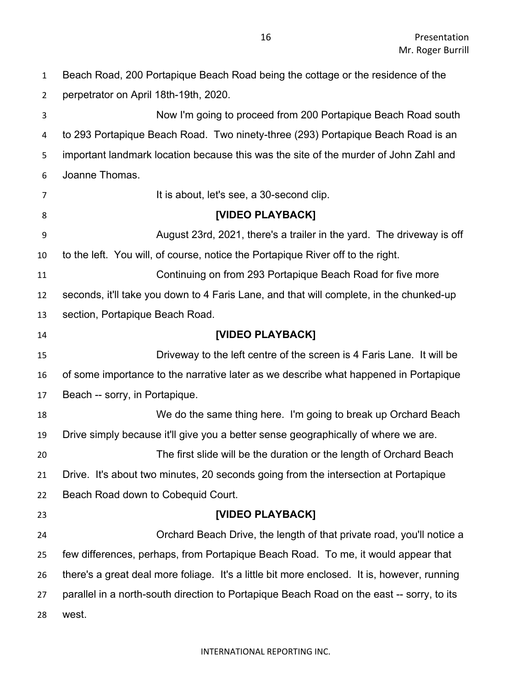Beach Road, 200 Portapique Beach Road being the cottage or the residence of the perpetrator on April 18th-19th, 2020.

 Now I'm going to proceed from 200 Portapique Beach Road south to 293 Portapique Beach Road. Two ninety-three (293) Portapique Beach Road is an important landmark location because this was the site of the murder of John Zahl and Joanne Thomas. 7 It is about, let's see, a 30-second clip. **[VIDEO PLAYBACK]** August 23rd, 2021, there's a trailer in the yard. The driveway is off to the left. You will, of course, notice the Portapique River off to the right. Continuing on from 293 Portapique Beach Road for five more seconds, it'll take you down to 4 Faris Lane, and that will complete, in the chunked-up section, Portapique Beach Road. **[VIDEO PLAYBACK]** Driveway to the left centre of the screen is 4 Faris Lane. It will be of some importance to the narrative later as we describe what happened in Portapique Beach -- sorry, in Portapique. We do the same thing here. I'm going to break up Orchard Beach Drive simply because it'll give you a better sense geographically of where we are. The first slide will be the duration or the length of Orchard Beach Drive. It's about two minutes, 20 seconds going from the intersection at Portapique Beach Road down to Cobequid Court. **[VIDEO PLAYBACK]** Orchard Beach Drive, the length of that private road, you'll notice a few differences, perhaps, from Portapique Beach Road. To me, it would appear that there's a great deal more foliage. It's a little bit more enclosed. It is, however, running parallel in a north-south direction to Portapique Beach Road on the east -- sorry, to its west.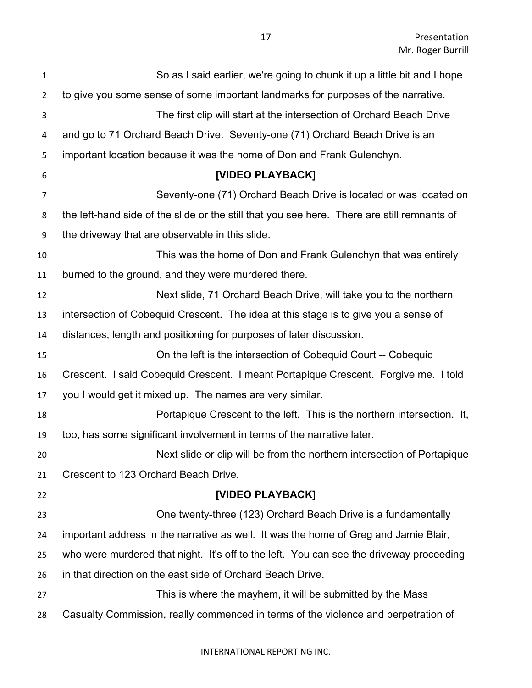| $\mathbf{1}$   | So as I said earlier, we're going to chunk it up a little bit and I hope                    |
|----------------|---------------------------------------------------------------------------------------------|
| $\overline{2}$ | to give you some sense of some important landmarks for purposes of the narrative.           |
| 3              | The first clip will start at the intersection of Orchard Beach Drive                        |
| 4              | and go to 71 Orchard Beach Drive. Seventy-one (71) Orchard Beach Drive is an                |
| 5              | important location because it was the home of Don and Frank Gulenchyn.                      |
| 6              | [VIDEO PLAYBACK]                                                                            |
| $\overline{7}$ | Seventy-one (71) Orchard Beach Drive is located or was located on                           |
| 8              | the left-hand side of the slide or the still that you see here. There are still remnants of |
| 9              | the driveway that are observable in this slide.                                             |
| 10             | This was the home of Don and Frank Gulenchyn that was entirely                              |
| 11             | burned to the ground, and they were murdered there.                                         |
| 12             | Next slide, 71 Orchard Beach Drive, will take you to the northern                           |
| 13             | intersection of Cobequid Crescent. The idea at this stage is to give you a sense of         |
| 14             | distances, length and positioning for purposes of later discussion.                         |
| 15             | On the left is the intersection of Cobequid Court -- Cobequid                               |
| 16             | Crescent. I said Cobequid Crescent. I meant Portapique Crescent. Forgive me. I told         |
| 17             | you I would get it mixed up. The names are very similar.                                    |
| 18             | Portapique Crescent to the left. This is the northern intersection. It,                     |
| 19             | too, has some significant involvement in terms of the narrative later.                      |
| 20             | Next slide or clip will be from the northern intersection of Portapique                     |
| 21             | Crescent to 123 Orchard Beach Drive.                                                        |
| 22             | [VIDEO PLAYBACK]                                                                            |
| 23             | One twenty-three (123) Orchard Beach Drive is a fundamentally                               |
| 24             | important address in the narrative as well. It was the home of Greg and Jamie Blair,        |
| 25             | who were murdered that night. It's off to the left. You can see the driveway proceeding     |
| 26             | in that direction on the east side of Orchard Beach Drive.                                  |
| 27             | This is where the mayhem, it will be submitted by the Mass                                  |
| 28             | Casualty Commission, really commenced in terms of the violence and perpetration of          |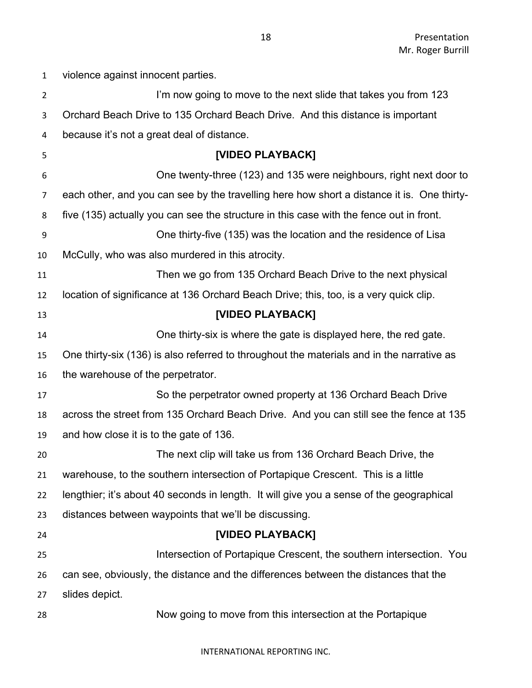| $\mathbf{1}$   | violence against innocent parties.                                                         |
|----------------|--------------------------------------------------------------------------------------------|
| $\overline{2}$ | I'm now going to move to the next slide that takes you from 123                            |
| $\mathbf{3}$   | Orchard Beach Drive to 135 Orchard Beach Drive. And this distance is important             |
| 4              | because it's not a great deal of distance.                                                 |
| 5              | [VIDEO PLAYBACK]                                                                           |
| 6              | One twenty-three (123) and 135 were neighbours, right next door to                         |
| 7              | each other, and you can see by the travelling here how short a distance it is. One thirty- |
| 8              | five (135) actually you can see the structure in this case with the fence out in front.    |
| 9              | One thirty-five (135) was the location and the residence of Lisa                           |
| 10             | McCully, who was also murdered in this atrocity.                                           |
| 11             | Then we go from 135 Orchard Beach Drive to the next physical                               |
| 12             | location of significance at 136 Orchard Beach Drive; this, too, is a very quick clip.      |
| 13             | [VIDEO PLAYBACK]                                                                           |
| 14             | One thirty-six is where the gate is displayed here, the red gate.                          |
| 15             | One thirty-six (136) is also referred to throughout the materials and in the narrative as  |
| 16             | the warehouse of the perpetrator.                                                          |
| 17             | So the perpetrator owned property at 136 Orchard Beach Drive                               |
| 18             | across the street from 135 Orchard Beach Drive. And you can still see the fence at 135     |
| 19             | and how close it is to the gate of 136.                                                    |
| 20             | The next clip will take us from 136 Orchard Beach Drive, the                               |
| 21             | warehouse, to the southern intersection of Portapique Crescent. This is a little           |
| 22             | lengthier; it's about 40 seconds in length. It will give you a sense of the geographical   |
| 23             | distances between waypoints that we'll be discussing.                                      |
| 24             | [VIDEO PLAYBACK]                                                                           |
| 25             | Intersection of Portapique Crescent, the southern intersection. You                        |
| 26             | can see, obviously, the distance and the differences between the distances that the        |
| 27             | slides depict.                                                                             |
| 28             | Now going to move from this intersection at the Portapique                                 |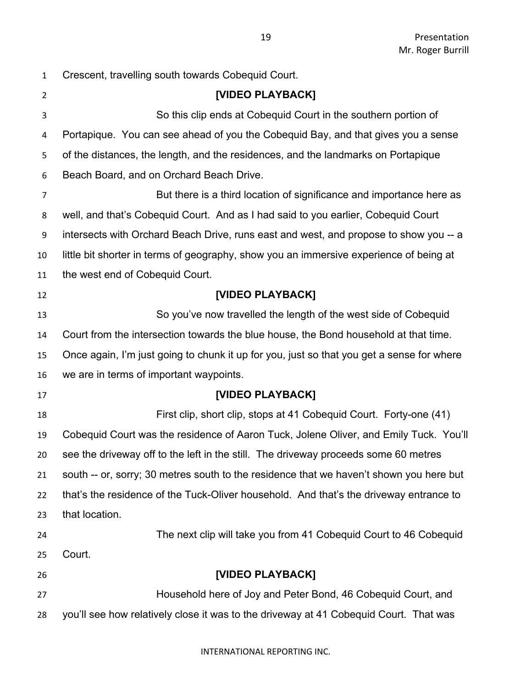| 1  | Crescent, travelling south towards Cobequid Court.                                        |
|----|-------------------------------------------------------------------------------------------|
| 2  | [VIDEO PLAYBACK]                                                                          |
| 3  | So this clip ends at Cobequid Court in the southern portion of                            |
| 4  | Portapique. You can see ahead of you the Cobequid Bay, and that gives you a sense         |
| 5  | of the distances, the length, and the residences, and the landmarks on Portapique         |
| 6  | Beach Board, and on Orchard Beach Drive.                                                  |
| 7  | But there is a third location of significance and importance here as                      |
| 8  | well, and that's Cobequid Court. And as I had said to you earlier, Cobequid Court         |
| 9  | intersects with Orchard Beach Drive, runs east and west, and propose to show you -- a     |
| 10 | little bit shorter in terms of geography, show you an immersive experience of being at    |
| 11 | the west end of Cobequid Court.                                                           |
| 12 | [VIDEO PLAYBACK]                                                                          |
| 13 | So you've now travelled the length of the west side of Cobequid                           |
| 14 | Court from the intersection towards the blue house, the Bond household at that time.      |
| 15 | Once again, I'm just going to chunk it up for you, just so that you get a sense for where |
| 16 | we are in terms of important waypoints.                                                   |
| 17 | [VIDEO PLAYBACK]                                                                          |
| 18 | First clip, short clip, stops at 41 Cobequid Court. Forty-one (41)                        |
| 19 | Cobequid Court was the residence of Aaron Tuck, Jolene Oliver, and Emily Tuck. You'll     |
| 20 | see the driveway off to the left in the still. The driveway proceeds some 60 metres       |
| 21 | south -- or, sorry; 30 metres south to the residence that we haven't shown you here but   |
| 22 | that's the residence of the Tuck-Oliver household. And that's the driveway entrance to    |
| 23 | that location.                                                                            |
| 24 | The next clip will take you from 41 Cobequid Court to 46 Cobequid                         |
| 25 | Court.                                                                                    |
| 26 | [VIDEO PLAYBACK]                                                                          |
| 27 | Household here of Joy and Peter Bond, 46 Cobequid Court, and                              |
| 28 | you'll see how relatively close it was to the driveway at 41 Cobequid Court. That was     |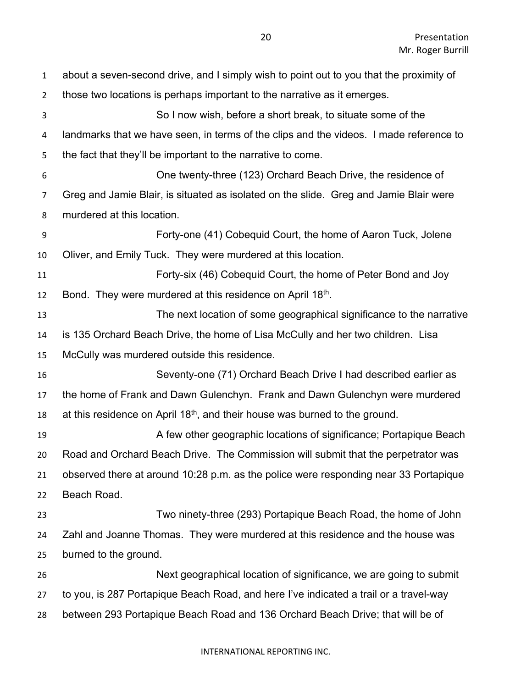| 1              | about a seven-second drive, and I simply wish to point out to you that the proximity of |
|----------------|-----------------------------------------------------------------------------------------|
| $\overline{2}$ | those two locations is perhaps important to the narrative as it emerges.                |
| 3              | So I now wish, before a short break, to situate some of the                             |
| 4              | landmarks that we have seen, in terms of the clips and the videos. I made reference to  |
| 5              | the fact that they'll be important to the narrative to come.                            |
| 6              | One twenty-three (123) Orchard Beach Drive, the residence of                            |
| 7              | Greg and Jamie Blair, is situated as isolated on the slide. Greg and Jamie Blair were   |
| 8              | murdered at this location.                                                              |
| 9              | Forty-one (41) Cobequid Court, the home of Aaron Tuck, Jolene                           |
| 10             | Oliver, and Emily Tuck. They were murdered at this location.                            |
| 11             | Forty-six (46) Cobequid Court, the home of Peter Bond and Joy                           |
| 12             | Bond. They were murdered at this residence on April 18th.                               |
| 13             | The next location of some geographical significance to the narrative                    |
| 14             | is 135 Orchard Beach Drive, the home of Lisa McCully and her two children. Lisa         |
| 15             | McCully was murdered outside this residence.                                            |
| 16             | Seventy-one (71) Orchard Beach Drive I had described earlier as                         |
| 17             | the home of Frank and Dawn Gulenchyn. Frank and Dawn Gulenchyn were murdered            |
| 18             | at this residence on April $18th$ , and their house was burned to the ground.           |
| 19             | A few other geographic locations of significance; Portapique Beach                      |
| 20             | Road and Orchard Beach Drive. The Commission will submit that the perpetrator was       |
| 21             | observed there at around 10:28 p.m. as the police were responding near 33 Portapique    |
| 22             | Beach Road.                                                                             |
| 23             | Two ninety-three (293) Portapique Beach Road, the home of John                          |
| 24             | Zahl and Joanne Thomas. They were murdered at this residence and the house was          |
| 25             | burned to the ground.                                                                   |
| 26             | Next geographical location of significance, we are going to submit                      |
| 27             | to you, is 287 Portapique Beach Road, and here I've indicated a trail or a travel-way   |
| 28             | between 293 Portapique Beach Road and 136 Orchard Beach Drive; that will be of          |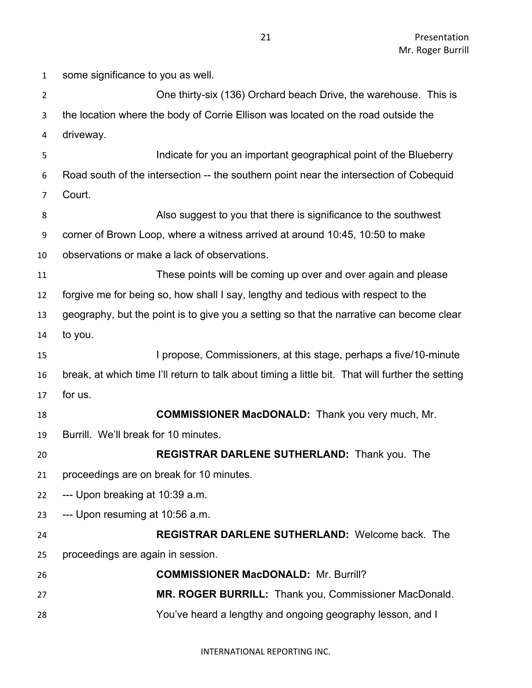One thirty-six (136) Orchard beach Drive, the warehouse. This is the location where the body of Corrie Ellison was located on the road outside the driveway. Indicate for you an important geographical point of the Blueberry Road south of the intersection -- the southern point near the intersection of Cobequid Court. Also suggest to you that there is significance to the southwest corner of Brown Loop, where a witness arrived at around 10:45, 10:50 to make observations or make a lack of observations. These points will be coming up over and over again and please forgive me for being so, how shall I say, lengthy and tedious with respect to the geography, but the point is to give you a setting so that the narrative can become clear to you. I propose, Commissioners, at this stage, perhaps a five/10-minute break, at which time I'll return to talk about timing a little bit. That will further the setting for us. **COMMISSIONER MacDONALD:** Thank you very much, Mr. Burrill. We'll break for 10 minutes. **REGISTRAR DARLENE SUTHERLAND:** Thank you. The proceedings are on break for 10 minutes. --- Upon breaking at 10:39 a.m. --- Upon resuming at 10:56 a.m. **REGISTRAR DARLENE SUTHERLAND:** Welcome back. The proceedings are again in session. **COMMISSIONER MacDONALD:** Mr. Burrill? **MR. ROGER BURRILL:** Thank you, Commissioner MacDonald. You've heard a lengthy and ongoing geography lesson, and I

some significance to you as well.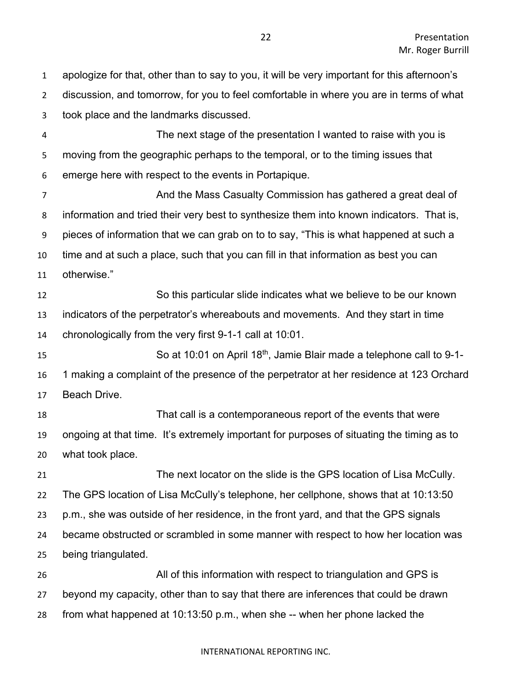apologize for that, other than to say to you, it will be very important for this afternoon's discussion, and tomorrow, for you to feel comfortable in where you are in terms of what took place and the landmarks discussed.

 The next stage of the presentation I wanted to raise with you is moving from the geographic perhaps to the temporal, or to the timing issues that emerge here with respect to the events in Portapique.

 And the Mass Casualty Commission has gathered a great deal of information and tried their very best to synthesize them into known indicators. That is, pieces of information that we can grab on to to say, "This is what happened at such a time and at such a place, such that you can fill in that information as best you can otherwise."

 So this particular slide indicates what we believe to be our known indicators of the perpetrator's whereabouts and movements. And they start in time chronologically from the very first 9-1-1 call at 10:01.

15 So at 10:01 on April 18<sup>th</sup>, Jamie Blair made a telephone call to 9-1- 1 making a complaint of the presence of the perpetrator at her residence at 123 Orchard Beach Drive.

 That call is a contemporaneous report of the events that were ongoing at that time. It's extremely important for purposes of situating the timing as to what took place.

 The next locator on the slide is the GPS location of Lisa McCully. The GPS location of Lisa McCully's telephone, her cellphone, shows that at 10:13:50 p.m., she was outside of her residence, in the front yard, and that the GPS signals became obstructed or scrambled in some manner with respect to how her location was being triangulated. All of this information with respect to triangulation and GPS is

 beyond my capacity, other than to say that there are inferences that could be drawn from what happened at 10:13:50 p.m., when she -- when her phone lacked the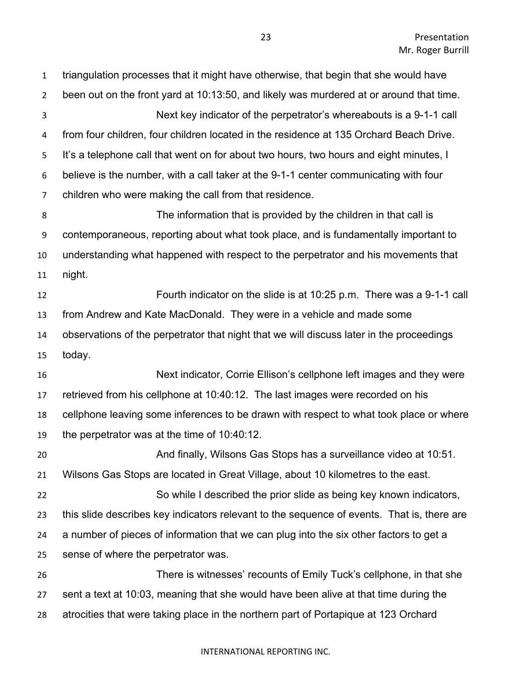triangulation processes that it might have otherwise, that begin that she would have been out on the front yard at 10:13:50, and likely was murdered at or around that time. Next key indicator of the perpetrator's whereabouts is a 9-1-1 call from four children, four children located in the residence at 135 Orchard Beach Drive. It's a telephone call that went on for about two hours, two hours and eight minutes, I believe is the number, with a call taker at the 9-1-1 center communicating with four children who were making the call from that residence. The information that is provided by the children in that call is contemporaneous, reporting about what took place, and is fundamentally important to understanding what happened with respect to the perpetrator and his movements that night. Fourth indicator on the slide is at 10:25 p.m. There was a 9-1-1 call from Andrew and Kate MacDonald. They were in a vehicle and made some observations of the perpetrator that night that we will discuss later in the proceedings today. Next indicator, Corrie Ellison's cellphone left images and they were retrieved from his cellphone at 10:40:12. The last images were recorded on his cellphone leaving some inferences to be drawn with respect to what took place or where the perpetrator was at the time of 10:40:12. And finally, Wilsons Gas Stops has a surveillance video at 10:51. Wilsons Gas Stops are located in Great Village, about 10 kilometres to the east. So while I described the prior slide as being key known indicators, this slide describes key indicators relevant to the sequence of events. That is, there are a number of pieces of information that we can plug into the six other factors to get a sense of where the perpetrator was. There is witnesses' recounts of Emily Tuck's cellphone, in that she sent a text at 10:03, meaning that she would have been alive at that time during the atrocities that were taking place in the northern part of Portapique at 123 Orchard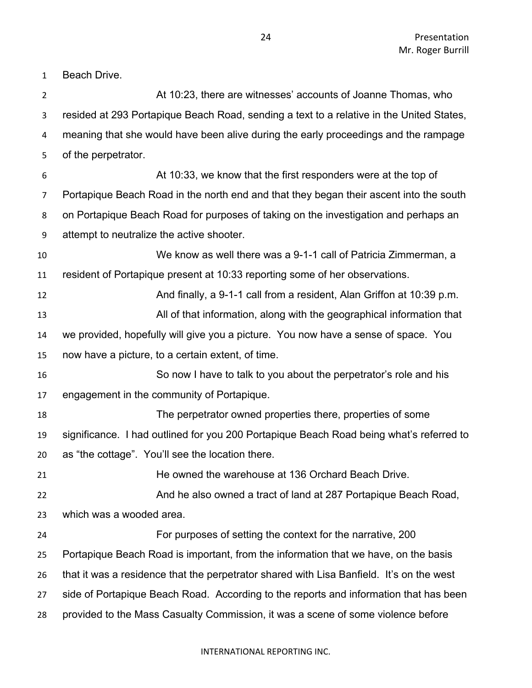Beach Drive.

| $\overline{2}$ | At 10:23, there are witnesses' accounts of Joanne Thomas, who                            |
|----------------|------------------------------------------------------------------------------------------|
| 3              | resided at 293 Portapique Beach Road, sending a text to a relative in the United States, |
| 4              | meaning that she would have been alive during the early proceedings and the rampage      |
| 5              | of the perpetrator.                                                                      |
| 6              | At 10:33, we know that the first responders were at the top of                           |
| $\overline{7}$ | Portapique Beach Road in the north end and that they began their ascent into the south   |
| 8              | on Portapique Beach Road for purposes of taking on the investigation and perhaps an      |
| 9              | attempt to neutralize the active shooter.                                                |
| 10             | We know as well there was a 9-1-1 call of Patricia Zimmerman, a                          |
| 11             | resident of Portapique present at 10:33 reporting some of her observations.              |
| 12             | And finally, a 9-1-1 call from a resident, Alan Griffon at 10:39 p.m.                    |
| 13             | All of that information, along with the geographical information that                    |
| 14             | we provided, hopefully will give you a picture. You now have a sense of space. You       |
| 15             | now have a picture, to a certain extent, of time.                                        |
| 16             | So now I have to talk to you about the perpetrator's role and his                        |
| 17             | engagement in the community of Portapique.                                               |
| 18             | The perpetrator owned properties there, properties of some                               |
| 19             | significance. I had outlined for you 200 Portapique Beach Road being what's referred to  |
| 20             | as "the cottage". You'll see the location there.                                         |
| 21             | He owned the warehouse at 136 Orchard Beach Drive                                        |
| 22             | And he also owned a tract of land at 287 Portapique Beach Road,                          |
| 23             | which was a wooded area.                                                                 |
| 24             | For purposes of setting the context for the narrative, 200                               |
| 25             | Portapique Beach Road is important, from the information that we have, on the basis      |
| 26             | that it was a residence that the perpetrator shared with Lisa Banfield. It's on the west |
| 27             | side of Portapique Beach Road. According to the reports and information that has been    |
| 28             | provided to the Mass Casualty Commission, it was a scene of some violence before         |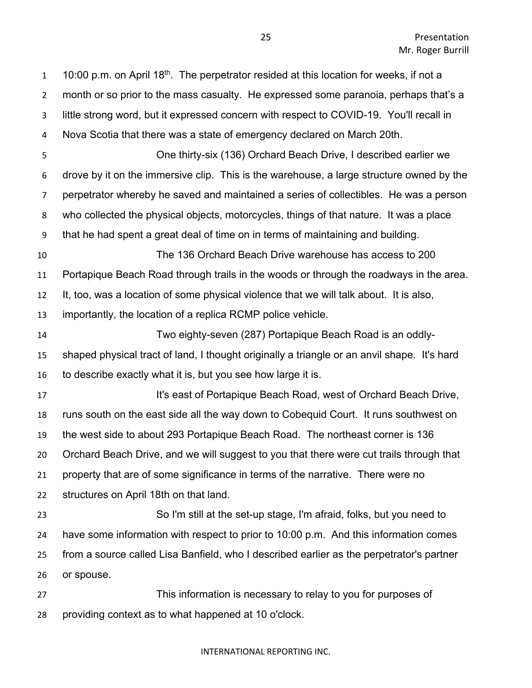1 10:00 p.m. on April 18<sup>th</sup>. The perpetrator resided at this location for weeks, if not a month or so prior to the mass casualty. He expressed some paranoia, perhaps that's a little strong word, but it expressed concern with respect to COVID-19. You'll recall in Nova Scotia that there was a state of emergency declared on March 20th. One thirty-six (136) Orchard Beach Drive, I described earlier we drove by it on the immersive clip. This is the warehouse, a large structure owned by the perpetrator whereby he saved and maintained a series of collectibles. He was a person who collected the physical objects, motorcycles, things of that nature. It was a place that he had spent a great deal of time on in terms of maintaining and building. The 136 Orchard Beach Drive warehouse has access to 200 Portapique Beach Road through trails in the woods or through the roadways in the area. It, too, was a location of some physical violence that we will talk about. It is also, importantly, the location of a replica RCMP police vehicle. Two eighty-seven (287) Portapique Beach Road is an oddly- shaped physical tract of land, I thought originally a triangle or an anvil shape. It's hard to describe exactly what it is, but you see how large it is. **It's east of Portapique Beach Road, west of Orchard Beach Drive,**  runs south on the east side all the way down to Cobequid Court. It runs southwest on the west side to about 293 Portapique Beach Road. The northeast corner is 136 Orchard Beach Drive, and we will suggest to you that there were cut trails through that property that are of some significance in terms of the narrative. There were no structures on April 18th on that land. So I'm still at the set-up stage, I'm afraid, folks, but you need to have some information with respect to prior to 10:00 p.m. And this information comes from a source called Lisa Banfield, who I described earlier as the perpetrator's partner or spouse. This information is necessary to relay to you for purposes of providing context as to what happened at 10 o'clock.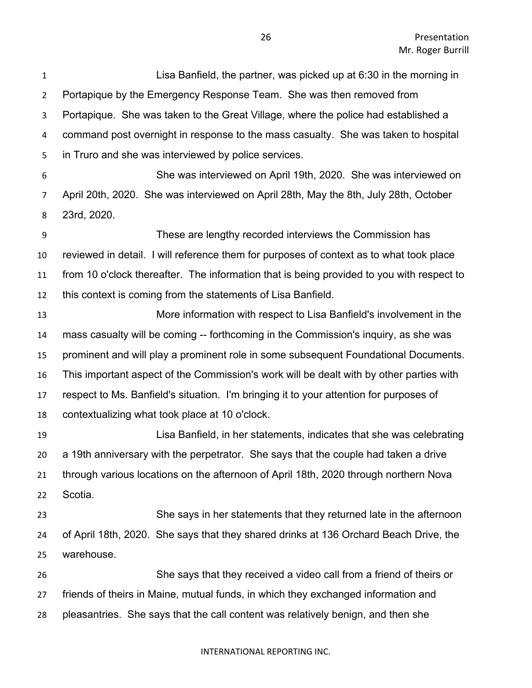Lisa Banfield, the partner, was picked up at 6:30 in the morning in Portapique by the Emergency Response Team. She was then removed from Portapique. She was taken to the Great Village, where the police had established a command post overnight in response to the mass casualty. She was taken to hospital in Truro and she was interviewed by police services. She was interviewed on April 19th, 2020. She was interviewed on April 20th, 2020. She was interviewed on April 28th, May the 8th, July 28th, October 23rd, 2020. These are lengthy recorded interviews the Commission has reviewed in detail. I will reference them for purposes of context as to what took place from 10 o'clock thereafter. The information that is being provided to you with respect to this context is coming from the statements of Lisa Banfield. More information with respect to Lisa Banfield's involvement in the mass casualty will be coming -- forthcoming in the Commission's inquiry, as she was prominent and will play a prominent role in some subsequent Foundational Documents. This important aspect of the Commission's work will be dealt with by other parties with respect to Ms. Banfield's situation. I'm bringing it to your attention for purposes of contextualizing what took place at 10 o'clock. Lisa Banfield, in her statements, indicates that she was celebrating a 19th anniversary with the perpetrator. She says that the couple had taken a drive through various locations on the afternoon of April 18th, 2020 through northern Nova Scotia. She says in her statements that they returned late in the afternoon of April 18th, 2020. She says that they shared drinks at 136 Orchard Beach Drive, the warehouse. She says that they received a video call from a friend of theirs or friends of theirs in Maine, mutual funds, in which they exchanged information and pleasantries. She says that the call content was relatively benign, and then she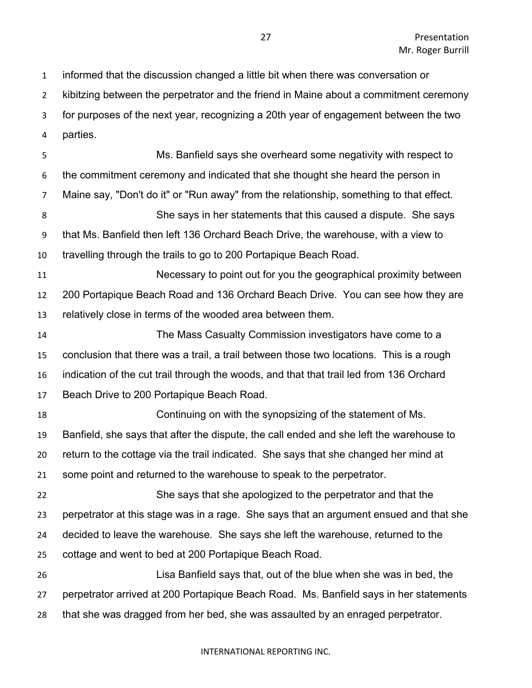informed that the discussion changed a little bit when there was conversation or

kibitzing between the perpetrator and the friend in Maine about a commitment ceremony

for purposes of the next year, recognizing a 20th year of engagement between the two

parties.

 Ms. Banfield says she overheard some negativity with respect to the commitment ceremony and indicated that she thought she heard the person in Maine say, "Don't do it" or "Run away" from the relationship, something to that effect. She says in her statements that this caused a dispute. She says that Ms. Banfield then left 136 Orchard Beach Drive, the warehouse, with a view to travelling through the trails to go to 200 Portapique Beach Road. Necessary to point out for you the geographical proximity between 200 Portapique Beach Road and 136 Orchard Beach Drive. You can see how they are

relatively close in terms of the wooded area between them.

 The Mass Casualty Commission investigators have come to a conclusion that there was a trail, a trail between those two locations. This is a rough indication of the cut trail through the woods, and that that trail led from 136 Orchard Beach Drive to 200 Portapique Beach Road.

 Continuing on with the synopsizing of the statement of Ms. Banfield, she says that after the dispute, the call ended and she left the warehouse to return to the cottage via the trail indicated. She says that she changed her mind at some point and returned to the warehouse to speak to the perpetrator. She says that she apologized to the perpetrator and that the perpetrator at this stage was in a rage. She says that an argument ensued and that she

decided to leave the warehouse. She says she left the warehouse, returned to the

cottage and went to bed at 200 Portapique Beach Road.

 Lisa Banfield says that, out of the blue when she was in bed, the perpetrator arrived at 200 Portapique Beach Road. Ms. Banfield says in her statements that she was dragged from her bed, she was assaulted by an enraged perpetrator.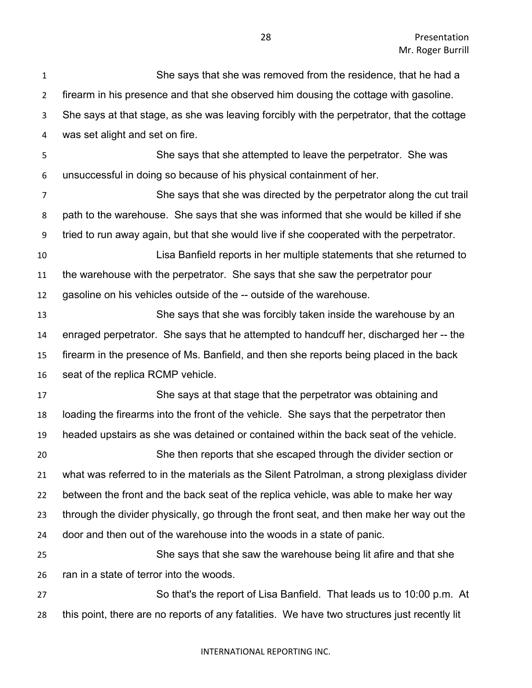She says that she was removed from the residence, that he had a firearm in his presence and that she observed him dousing the cottage with gasoline. She says at that stage, as she was leaving forcibly with the perpetrator, that the cottage was set alight and set on fire. She says that she attempted to leave the perpetrator. She was unsuccessful in doing so because of his physical containment of her. She says that she was directed by the perpetrator along the cut trail path to the warehouse. She says that she was informed that she would be killed if she tried to run away again, but that she would live if she cooperated with the perpetrator. Lisa Banfield reports in her multiple statements that she returned to the warehouse with the perpetrator. She says that she saw the perpetrator pour gasoline on his vehicles outside of the -- outside of the warehouse. She says that she was forcibly taken inside the warehouse by an enraged perpetrator. She says that he attempted to handcuff her, discharged her -- the firearm in the presence of Ms. Banfield, and then she reports being placed in the back seat of the replica RCMP vehicle. She says at that stage that the perpetrator was obtaining and loading the firearms into the front of the vehicle. She says that the perpetrator then headed upstairs as she was detained or contained within the back seat of the vehicle. She then reports that she escaped through the divider section or what was referred to in the materials as the Silent Patrolman, a strong plexiglass divider between the front and the back seat of the replica vehicle, was able to make her way through the divider physically, go through the front seat, and then make her way out the door and then out of the warehouse into the woods in a state of panic. She says that she saw the warehouse being lit afire and that she ran in a state of terror into the woods. So that's the report of Lisa Banfield. That leads us to 10:00 p.m. At this point, there are no reports of any fatalities. We have two structures just recently lit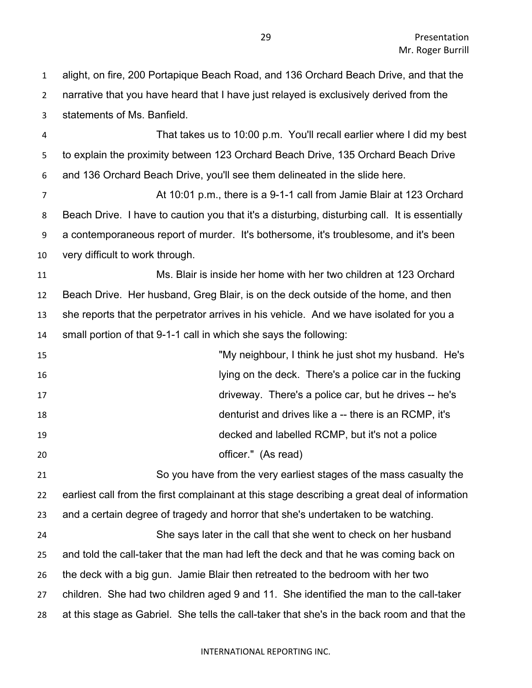alight, on fire, 200 Portapique Beach Road, and 136 Orchard Beach Drive, and that the narrative that you have heard that I have just relayed is exclusively derived from the statements of Ms. Banfield.

 That takes us to 10:00 p.m. You'll recall earlier where I did my best to explain the proximity between 123 Orchard Beach Drive, 135 Orchard Beach Drive and 136 Orchard Beach Drive, you'll see them delineated in the slide here.

 At 10:01 p.m., there is a 9-1-1 call from Jamie Blair at 123 Orchard Beach Drive. I have to caution you that it's a disturbing, disturbing call. It is essentially a contemporaneous report of murder. It's bothersome, it's troublesome, and it's been very difficult to work through.

 Ms. Blair is inside her home with her two children at 123 Orchard Beach Drive. Her husband, Greg Blair, is on the deck outside of the home, and then she reports that the perpetrator arrives in his vehicle. And we have isolated for you a small portion of that 9-1-1 call in which she says the following:

 "My neighbour, I think he just shot my husband. He's lying on the deck. There's a police car in the fucking driveway. There's a police car, but he drives -- he's denturist and drives like a -- there is an RCMP, it's decked and labelled RCMP, but it's not a police **officer.**" (As read)

 So you have from the very earliest stages of the mass casualty the earliest call from the first complainant at this stage describing a great deal of information and a certain degree of tragedy and horror that she's undertaken to be watching.

 She says later in the call that she went to check on her husband and told the call-taker that the man had left the deck and that he was coming back on the deck with a big gun. Jamie Blair then retreated to the bedroom with her two children. She had two children aged 9 and 11. She identified the man to the call-taker at this stage as Gabriel. She tells the call-taker that she's in the back room and that the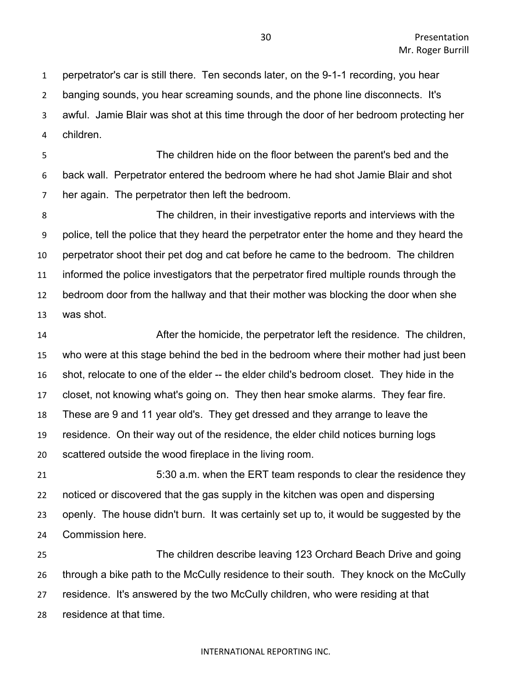perpetrator's car is still there. Ten seconds later, on the 9-1-1 recording, you hear banging sounds, you hear screaming sounds, and the phone line disconnects. It's awful. Jamie Blair was shot at this time through the door of her bedroom protecting her children.

 The children hide on the floor between the parent's bed and the back wall. Perpetrator entered the bedroom where he had shot Jamie Blair and shot her again. The perpetrator then left the bedroom.

 The children, in their investigative reports and interviews with the police, tell the police that they heard the perpetrator enter the home and they heard the perpetrator shoot their pet dog and cat before he came to the bedroom. The children informed the police investigators that the perpetrator fired multiple rounds through the bedroom door from the hallway and that their mother was blocking the door when she was shot.

 After the homicide, the perpetrator left the residence. The children, who were at this stage behind the bed in the bedroom where their mother had just been shot, relocate to one of the elder -- the elder child's bedroom closet. They hide in the closet, not knowing what's going on. They then hear smoke alarms. They fear fire. These are 9 and 11 year old's. They get dressed and they arrange to leave the residence. On their way out of the residence, the elder child notices burning logs scattered outside the wood fireplace in the living room.

 5:30 a.m. when the ERT team responds to clear the residence they noticed or discovered that the gas supply in the kitchen was open and dispersing openly. The house didn't burn. It was certainly set up to, it would be suggested by the Commission here.

 The children describe leaving 123 Orchard Beach Drive and going through a bike path to the McCully residence to their south. They knock on the McCully residence. It's answered by the two McCully children, who were residing at that residence at that time.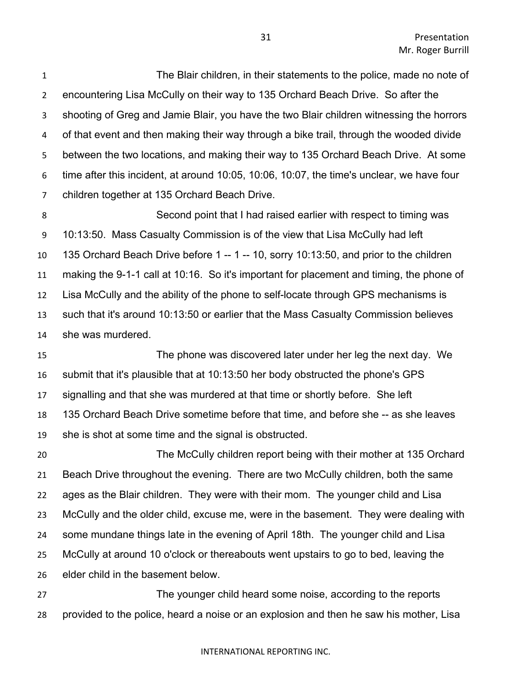The Blair children, in their statements to the police, made no note of encountering Lisa McCully on their way to 135 Orchard Beach Drive. So after the shooting of Greg and Jamie Blair, you have the two Blair children witnessing the horrors of that event and then making their way through a bike trail, through the wooded divide between the two locations, and making their way to 135 Orchard Beach Drive. At some time after this incident, at around 10:05, 10:06, 10:07, the time's unclear, we have four children together at 135 Orchard Beach Drive.

 Second point that I had raised earlier with respect to timing was 10:13:50. Mass Casualty Commission is of the view that Lisa McCully had left 135 Orchard Beach Drive before 1 -- 1 -- 10, sorry 10:13:50, and prior to the children making the 9-1-1 call at 10:16. So it's important for placement and timing, the phone of Lisa McCully and the ability of the phone to self-locate through GPS mechanisms is such that it's around 10:13:50 or earlier that the Mass Casualty Commission believes she was murdered.

 The phone was discovered later under her leg the next day. We submit that it's plausible that at 10:13:50 her body obstructed the phone's GPS signalling and that she was murdered at that time or shortly before. She left 135 Orchard Beach Drive sometime before that time, and before she -- as she leaves she is shot at some time and the signal is obstructed.

 The McCully children report being with their mother at 135 Orchard Beach Drive throughout the evening. There are two McCully children, both the same ages as the Blair children. They were with their mom. The younger child and Lisa McCully and the older child, excuse me, were in the basement. They were dealing with some mundane things late in the evening of April 18th. The younger child and Lisa McCully at around 10 o'clock or thereabouts went upstairs to go to bed, leaving the elder child in the basement below.

 The younger child heard some noise, according to the reports provided to the police, heard a noise or an explosion and then he saw his mother, Lisa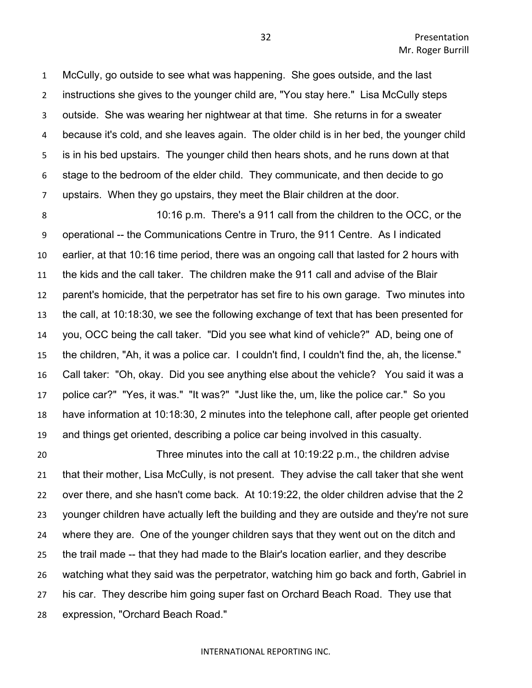McCully, go outside to see what was happening. She goes outside, and the last instructions she gives to the younger child are, "You stay here." Lisa McCully steps outside. She was wearing her nightwear at that time. She returns in for a sweater because it's cold, and she leaves again. The older child is in her bed, the younger child is in his bed upstairs. The younger child then hears shots, and he runs down at that stage to the bedroom of the elder child. They communicate, and then decide to go upstairs. When they go upstairs, they meet the Blair children at the door.

 10:16 p.m. There's a 911 call from the children to the OCC, or the operational -- the Communications Centre in Truro, the 911 Centre. As I indicated earlier, at that 10:16 time period, there was an ongoing call that lasted for 2 hours with the kids and the call taker. The children make the 911 call and advise of the Blair parent's homicide, that the perpetrator has set fire to his own garage. Two minutes into the call, at 10:18:30, we see the following exchange of text that has been presented for you, OCC being the call taker. "Did you see what kind of vehicle?" AD, being one of the children, "Ah, it was a police car. I couldn't find, I couldn't find the, ah, the license." Call taker: "Oh, okay. Did you see anything else about the vehicle? You said it was a police car?" "Yes, it was." "It was?" "Just like the, um, like the police car." So you have information at 10:18:30, 2 minutes into the telephone call, after people get oriented and things get oriented, describing a police car being involved in this casualty.

 Three minutes into the call at 10:19:22 p.m., the children advise that their mother, Lisa McCully, is not present. They advise the call taker that she went over there, and she hasn't come back. At 10:19:22, the older children advise that the 2 younger children have actually left the building and they are outside and they're not sure where they are. One of the younger children says that they went out on the ditch and the trail made -- that they had made to the Blair's location earlier, and they describe watching what they said was the perpetrator, watching him go back and forth, Gabriel in his car. They describe him going super fast on Orchard Beach Road. They use that expression, "Orchard Beach Road."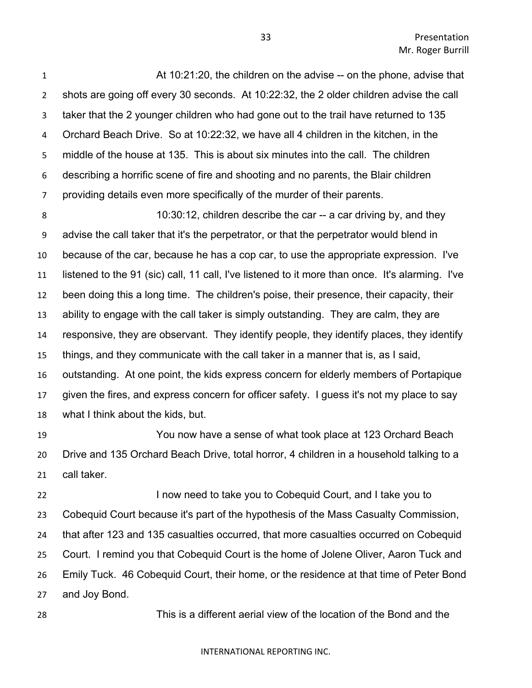Presentation Mr. Roger Burrill

 At 10:21:20, the children on the advise -- on the phone, advise that shots are going off every 30 seconds. At 10:22:32, the 2 older children advise the call taker that the 2 younger children who had gone out to the trail have returned to 135 Orchard Beach Drive. So at 10:22:32, we have all 4 children in the kitchen, in the middle of the house at 135. This is about six minutes into the call. The children describing a horrific scene of fire and shooting and no parents, the Blair children providing details even more specifically of the murder of their parents.

 10:30:12, children describe the car -- a car driving by, and they advise the call taker that it's the perpetrator, or that the perpetrator would blend in because of the car, because he has a cop car, to use the appropriate expression. I've listened to the 91 (sic) call, 11 call, I've listened to it more than once. It's alarming. I've been doing this a long time. The children's poise, their presence, their capacity, their ability to engage with the call taker is simply outstanding. They are calm, they are responsive, they are observant. They identify people, they identify places, they identify things, and they communicate with the call taker in a manner that is, as I said, outstanding. At one point, the kids express concern for elderly members of Portapique given the fires, and express concern for officer safety. I guess it's not my place to say what I think about the kids, but.

 You now have a sense of what took place at 123 Orchard Beach Drive and 135 Orchard Beach Drive, total horror, 4 children in a household talking to a call taker.

**I now need to take you to Cobequid Court, and I take you to**  Cobequid Court because it's part of the hypothesis of the Mass Casualty Commission, that after 123 and 135 casualties occurred, that more casualties occurred on Cobequid Court. I remind you that Cobequid Court is the home of Jolene Oliver, Aaron Tuck and Emily Tuck. 46 Cobequid Court, their home, or the residence at that time of Peter Bond and Joy Bond.

This is a different aerial view of the location of the Bond and the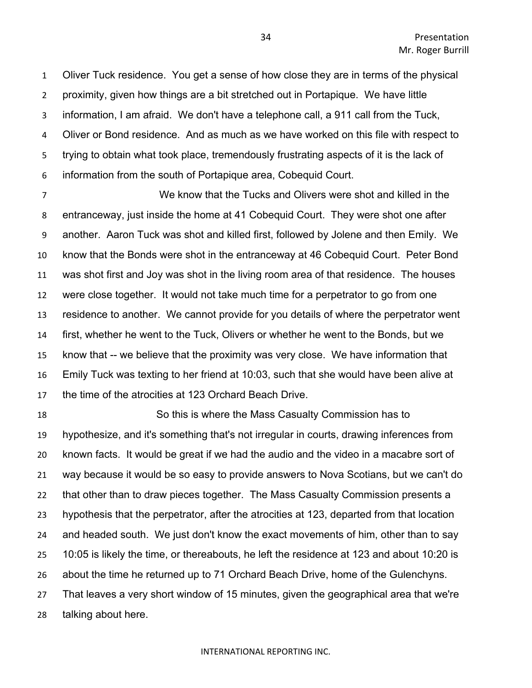Oliver Tuck residence. You get a sense of how close they are in terms of the physical proximity, given how things are a bit stretched out in Portapique. We have little information, I am afraid. We don't have a telephone call, a 911 call from the Tuck, Oliver or Bond residence. And as much as we have worked on this file with respect to trying to obtain what took place, tremendously frustrating aspects of it is the lack of information from the south of Portapique area, Cobequid Court.

 We know that the Tucks and Olivers were shot and killed in the entranceway, just inside the home at 41 Cobequid Court. They were shot one after another. Aaron Tuck was shot and killed first, followed by Jolene and then Emily. We know that the Bonds were shot in the entranceway at 46 Cobequid Court. Peter Bond was shot first and Joy was shot in the living room area of that residence. The houses were close together. It would not take much time for a perpetrator to go from one residence to another. We cannot provide for you details of where the perpetrator went first, whether he went to the Tuck, Olivers or whether he went to the Bonds, but we know that -- we believe that the proximity was very close. We have information that Emily Tuck was texting to her friend at 10:03, such that she would have been alive at the time of the atrocities at 123 Orchard Beach Drive.

 So this is where the Mass Casualty Commission has to hypothesize, and it's something that's not irregular in courts, drawing inferences from known facts. It would be great if we had the audio and the video in a macabre sort of way because it would be so easy to provide answers to Nova Scotians, but we can't do that other than to draw pieces together. The Mass Casualty Commission presents a hypothesis that the perpetrator, after the atrocities at 123, departed from that location and headed south. We just don't know the exact movements of him, other than to say 10:05 is likely the time, or thereabouts, he left the residence at 123 and about 10:20 is about the time he returned up to 71 Orchard Beach Drive, home of the Gulenchyns. That leaves a very short window of 15 minutes, given the geographical area that we're talking about here.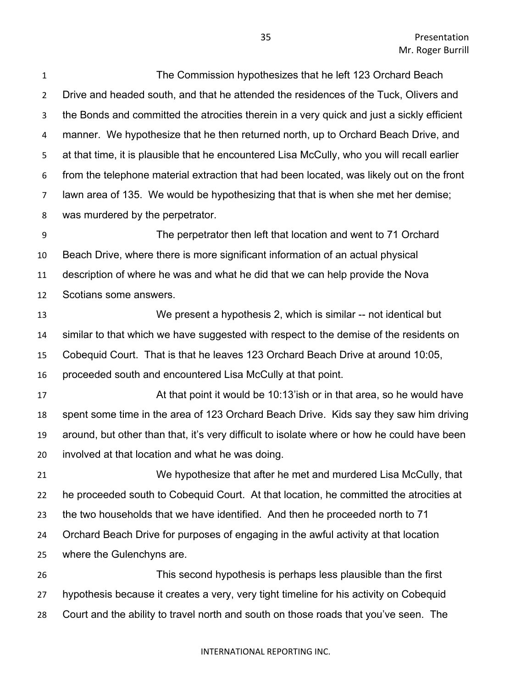The Commission hypothesizes that he left 123 Orchard Beach Drive and headed south, and that he attended the residences of the Tuck, Olivers and the Bonds and committed the atrocities therein in a very quick and just a sickly efficient manner. We hypothesize that he then returned north, up to Orchard Beach Drive, and at that time, it is plausible that he encountered Lisa McCully, who you will recall earlier from the telephone material extraction that had been located, was likely out on the front lawn area of 135. We would be hypothesizing that that is when she met her demise; was murdered by the perpetrator.

 The perpetrator then left that location and went to 71 Orchard Beach Drive, where there is more significant information of an actual physical description of where he was and what he did that we can help provide the Nova Scotians some answers.

 We present a hypothesis 2, which is similar -- not identical but similar to that which we have suggested with respect to the demise of the residents on Cobequid Court. That is that he leaves 123 Orchard Beach Drive at around 10:05, proceeded south and encountered Lisa McCully at that point.

 At that point it would be 10:13'ish or in that area, so he would have spent some time in the area of 123 Orchard Beach Drive. Kids say they saw him driving around, but other than that, it's very difficult to isolate where or how he could have been involved at that location and what he was doing.

 We hypothesize that after he met and murdered Lisa McCully, that he proceeded south to Cobequid Court. At that location, he committed the atrocities at the two households that we have identified. And then he proceeded north to 71 Orchard Beach Drive for purposes of engaging in the awful activity at that location where the Gulenchyns are. This second hypothesis is perhaps less plausible than the first

 hypothesis because it creates a very, very tight timeline for his activity on Cobequid Court and the ability to travel north and south on those roads that you've seen. The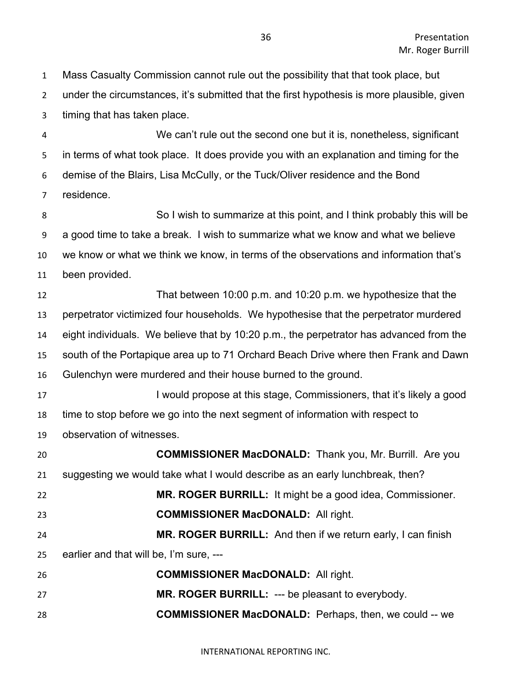Mass Casualty Commission cannot rule out the possibility that that took place, but under the circumstances, it's submitted that the first hypothesis is more plausible, given timing that has taken place.

 We can't rule out the second one but it is, nonetheless, significant in terms of what took place. It does provide you with an explanation and timing for the demise of the Blairs, Lisa McCully, or the Tuck/Oliver residence and the Bond residence.

 So I wish to summarize at this point, and I think probably this will be a good time to take a break. I wish to summarize what we know and what we believe we know or what we think we know, in terms of the observations and information that's been provided.

 That between 10:00 p.m. and 10:20 p.m. we hypothesize that the perpetrator victimized four households. We hypothesise that the perpetrator murdered eight individuals. We believe that by 10:20 p.m., the perpetrator has advanced from the south of the Portapique area up to 71 Orchard Beach Drive where then Frank and Dawn Gulenchyn were murdered and their house burned to the ground.

**I** would propose at this stage, Commissioners, that it's likely a good time to stop before we go into the next segment of information with respect to observation of witnesses.

 **COMMISSIONER MacDONALD:** Thank you, Mr. Burrill. Are you suggesting we would take what I would describe as an early lunchbreak, then? **MR. ROGER BURRILL:** It might be a good idea, Commissioner. **COMMISSIONER MacDONALD:** All right. **MR. ROGER BURRILL:** And then if we return early, I can finish earlier and that will be, I'm sure, --- **COMMISSIONER MacDONALD:** All right. **MR. ROGER BURRILL:** --- be pleasant to everybody. **COMMISSIONER MacDONALD:** Perhaps, then, we could -- we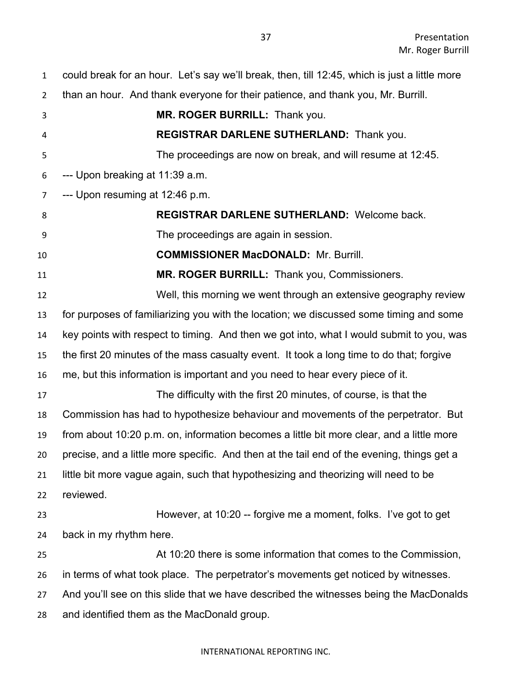| $\mathbf{1}$   | could break for an hour. Let's say we'll break, then, till 12:45, which is just a little more |
|----------------|-----------------------------------------------------------------------------------------------|
| $\overline{2}$ | than an hour. And thank everyone for their patience, and thank you, Mr. Burrill.              |
| 3              | MR. ROGER BURRILL: Thank you.                                                                 |
| 4              | REGISTRAR DARLENE SUTHERLAND: Thank you.                                                      |
| 5              | The proceedings are now on break, and will resume at 12:45.                                   |
| 6              | --- Upon breaking at 11:39 a.m.                                                               |
| $\overline{7}$ | --- Upon resuming at 12:46 p.m.                                                               |
| 8              | REGISTRAR DARLENE SUTHERLAND: Welcome back.                                                   |
| 9              | The proceedings are again in session.                                                         |
| 10             | <b>COMMISSIONER MacDONALD: Mr. Burrill.</b>                                                   |
| 11             | MR. ROGER BURRILL: Thank you, Commissioners.                                                  |
| 12             | Well, this morning we went through an extensive geography review                              |
| 13             | for purposes of familiarizing you with the location; we discussed some timing and some        |
| 14             | key points with respect to timing. And then we got into, what I would submit to you, was      |
| 15             | the first 20 minutes of the mass casualty event. It took a long time to do that; forgive      |
| 16             | me, but this information is important and you need to hear every piece of it.                 |
| 17             | The difficulty with the first 20 minutes, of course, is that the                              |
| 18             | Commission has had to hypothesize behaviour and movements of the perpetrator. But             |
| 19             | from about 10:20 p.m. on, information becomes a little bit more clear, and a little more      |
| 20             | precise, and a little more specific. And then at the tail end of the evening, things get a    |
| 21             | little bit more vague again, such that hypothesizing and theorizing will need to be           |
| 22             | reviewed.                                                                                     |
| 23             | However, at 10:20 -- forgive me a moment, folks. I've got to get                              |
| 24             | back in my rhythm here.                                                                       |
| 25             | At 10:20 there is some information that comes to the Commission,                              |
| 26             | in terms of what took place. The perpetrator's movements get noticed by witnesses.            |
| 27             | And you'll see on this slide that we have described the witnesses being the MacDonalds        |
| 28             | and identified them as the MacDonald group.                                                   |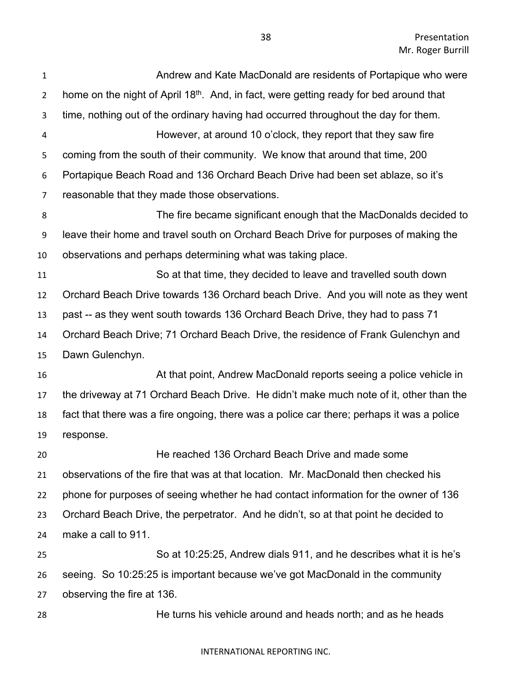Presentation Mr. Roger Burrill

| $\mathbf{1}$   | Andrew and Kate MacDonald are residents of Portapique who were                                     |
|----------------|----------------------------------------------------------------------------------------------------|
| $\overline{2}$ | home on the night of April 18 <sup>th</sup> . And, in fact, were getting ready for bed around that |
| 3              | time, nothing out of the ordinary having had occurred throughout the day for them.                 |
| 4              | However, at around 10 o'clock, they report that they saw fire                                      |
| 5              | coming from the south of their community. We know that around that time, 200                       |
| 6              | Portapique Beach Road and 136 Orchard Beach Drive had been set ablaze, so it's                     |
| $\overline{7}$ | reasonable that they made those observations.                                                      |
| 8              | The fire became significant enough that the MacDonalds decided to                                  |
| 9              | leave their home and travel south on Orchard Beach Drive for purposes of making the                |
| 10             | observations and perhaps determining what was taking place.                                        |
| 11             | So at that time, they decided to leave and travelled south down                                    |
| 12             | Orchard Beach Drive towards 136 Orchard beach Drive. And you will note as they went                |
| 13             | past -- as they went south towards 136 Orchard Beach Drive, they had to pass 71                    |
| 14             | Orchard Beach Drive; 71 Orchard Beach Drive, the residence of Frank Gulenchyn and                  |
| 15             | Dawn Gulenchyn.                                                                                    |
| 16             | At that point, Andrew MacDonald reports seeing a police vehicle in                                 |
| 17             | the driveway at 71 Orchard Beach Drive. He didn't make much note of it, other than the             |
| 18             | fact that there was a fire ongoing, there was a police car there; perhaps it was a police          |
| 19             | response.                                                                                          |
| 20             | He reached 136 Orchard Beach Drive and made some                                                   |
| 21             | observations of the fire that was at that location. Mr. MacDonald then checked his                 |
| 22             | phone for purposes of seeing whether he had contact information for the owner of 136               |
| 23             | Orchard Beach Drive, the perpetrator. And he didn't, so at that point he decided to                |
| 24             | make a call to 911.                                                                                |
| 25             | So at 10:25:25, Andrew dials 911, and he describes what it is he's                                 |
| 26             | seeing. So 10:25:25 is important because we've got MacDonald in the community                      |
| 27             | observing the fire at 136.                                                                         |
| 28             | He turns his vehicle around and heads north; and as he heads                                       |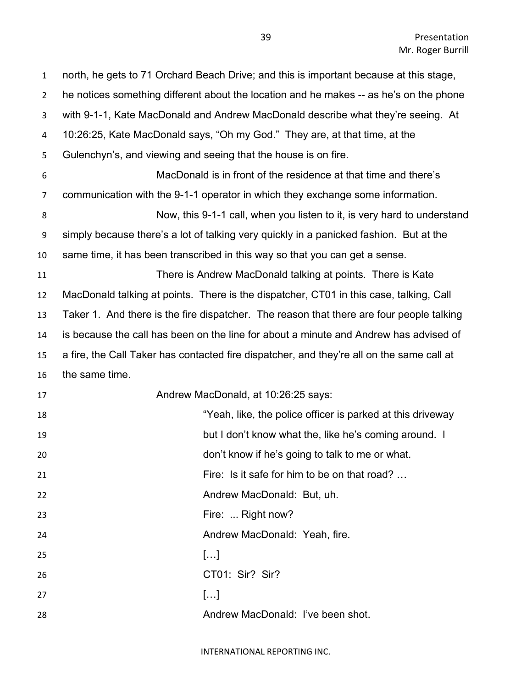| $\mathbf{1}$   | north, he gets to 71 Orchard Beach Drive; and this is important because at this stage,    |
|----------------|-------------------------------------------------------------------------------------------|
| $\overline{2}$ | he notices something different about the location and he makes -- as he's on the phone    |
| 3              | with 9-1-1, Kate MacDonald and Andrew MacDonald describe what they're seeing. At          |
| 4              | 10:26:25, Kate MacDonald says, "Oh my God." They are, at that time, at the                |
| 5              | Gulenchyn's, and viewing and seeing that the house is on fire.                            |
| 6              | MacDonald is in front of the residence at that time and there's                           |
| $\overline{7}$ | communication with the 9-1-1 operator in which they exchange some information.            |
| 8              | Now, this 9-1-1 call, when you listen to it, is very hard to understand                   |
| 9              | simply because there's a lot of talking very quickly in a panicked fashion. But at the    |
| 10             | same time, it has been transcribed in this way so that you can get a sense.               |
| 11             | There is Andrew MacDonald talking at points. There is Kate                                |
| 12             | MacDonald talking at points. There is the dispatcher, CT01 in this case, talking, Call    |
| 13             | Taker 1. And there is the fire dispatcher. The reason that there are four people talking  |
| 14             | is because the call has been on the line for about a minute and Andrew has advised of     |
| 15             | a fire, the Call Taker has contacted fire dispatcher, and they're all on the same call at |
| 16             | the same time.                                                                            |
| 17             | Andrew MacDonald, at 10:26:25 says:                                                       |
| 18             | "Yeah, like, the police officer is parked at this driveway                                |
| 19             | but I don't know what the, like he's coming around. I                                     |
| 20             | don't know if he's going to talk to me or what.                                           |
| 21             | Fire: Is it safe for him to be on that road?                                              |
| 22             | Andrew MacDonald: But, uh.                                                                |
| 23             | Fire:  Right now?                                                                         |
| 24             | Andrew MacDonald: Yeah, fire.                                                             |
| 25             | []                                                                                        |
| 26             | CT01: Sir? Sir?                                                                           |
| 27             | []                                                                                        |
| 28             | Andrew MacDonald: I've been shot.                                                         |
|                |                                                                                           |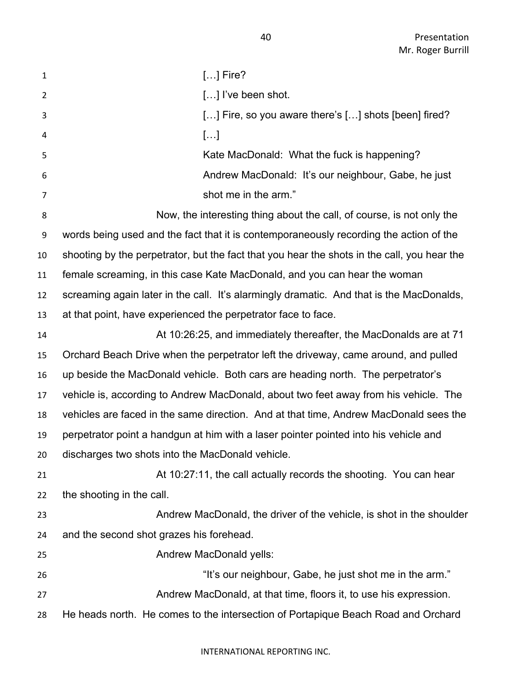| $\mathbf{1}$   | $[]$ Fire?                                                                                  |
|----------------|---------------------------------------------------------------------------------------------|
| $\overline{2}$ | [] I've been shot.                                                                          |
| 3              | [] Fire, so you aware there's [] shots [been] fired?                                        |
| 4              | $[\ldots]$                                                                                  |
| 5              | Kate MacDonald: What the fuck is happening?                                                 |
| 6              | Andrew MacDonald: It's our neighbour, Gabe, he just                                         |
| $\overline{7}$ | shot me in the arm."                                                                        |
| 8              | Now, the interesting thing about the call, of course, is not only the                       |
| 9              | words being used and the fact that it is contemporaneously recording the action of the      |
| 10             | shooting by the perpetrator, but the fact that you hear the shots in the call, you hear the |
| 11             | female screaming, in this case Kate MacDonald, and you can hear the woman                   |
| 12             | screaming again later in the call. It's alarmingly dramatic. And that is the MacDonalds,    |
| 13             | at that point, have experienced the perpetrator face to face.                               |
| 14             | At 10:26:25, and immediately thereafter, the MacDonalds are at 71                           |
| 15             | Orchard Beach Drive when the perpetrator left the driveway, came around, and pulled         |
| 16             | up beside the MacDonald vehicle. Both cars are heading north. The perpetrator's             |
| 17             | vehicle is, according to Andrew MacDonald, about two feet away from his vehicle. The        |
| 18             | vehicles are faced in the same direction. And at that time, Andrew MacDonald sees the       |
| 19             | perpetrator point a handgun at him with a laser pointer pointed into his vehicle and        |
| 20             | discharges two shots into the MacDonald vehicle.                                            |
| 21             | At 10:27:11, the call actually records the shooting. You can hear                           |
| 22             | the shooting in the call.                                                                   |
| 23             | Andrew MacDonald, the driver of the vehicle, is shot in the shoulder                        |
| 24             | and the second shot grazes his forehead.                                                    |
| 25             | Andrew MacDonald yells:                                                                     |
| 26             | "It's our neighbour, Gabe, he just shot me in the arm."                                     |
| 27             | Andrew MacDonald, at that time, floors it, to use his expression.                           |
| 28             | He heads north. He comes to the intersection of Portapique Beach Road and Orchard           |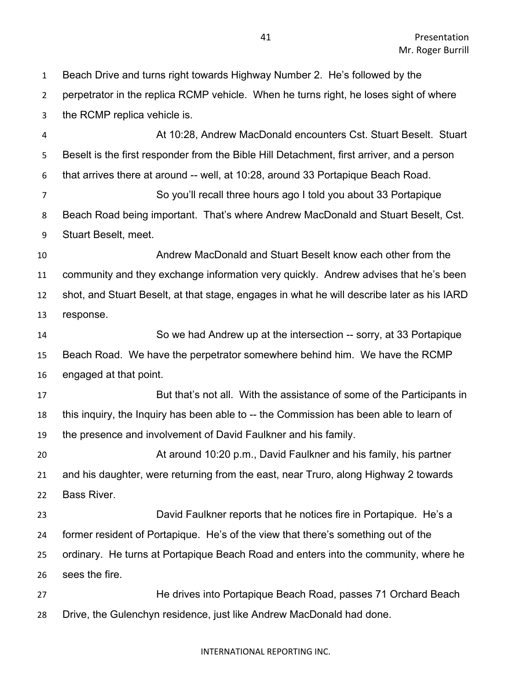perpetrator in the replica RCMP vehicle. When he turns right, he loses sight of where the RCMP replica vehicle is. At 10:28, Andrew MacDonald encounters Cst. Stuart Beselt. Stuart Beselt is the first responder from the Bible Hill Detachment, first arriver, and a person that arrives there at around -- well, at 10:28, around 33 Portapique Beach Road. So you'll recall three hours ago I told you about 33 Portapique Beach Road being important. That's where Andrew MacDonald and Stuart Beselt, Cst. Stuart Beselt, meet. Andrew MacDonald and Stuart Beselt know each other from the community and they exchange information very quickly. Andrew advises that he's been shot, and Stuart Beselt, at that stage, engages in what he will describe later as his IARD response. So we had Andrew up at the intersection -- sorry, at 33 Portapique Beach Road. We have the perpetrator somewhere behind him. We have the RCMP engaged at that point. **But that's not all.** With the assistance of some of the Participants in this inquiry, the Inquiry has been able to -- the Commission has been able to learn of the presence and involvement of David Faulkner and his family. At around 10:20 p.m., David Faulkner and his family, his partner and his daughter, were returning from the east, near Truro, along Highway 2 towards Bass River. David Faulkner reports that he notices fire in Portapique. He's a former resident of Portapique. He's of the view that there's something out of the ordinary. He turns at Portapique Beach Road and enters into the community, where he sees the fire. He drives into Portapique Beach Road, passes 71 Orchard Beach Drive, the Gulenchyn residence, just like Andrew MacDonald had done.

Beach Drive and turns right towards Highway Number 2. He's followed by the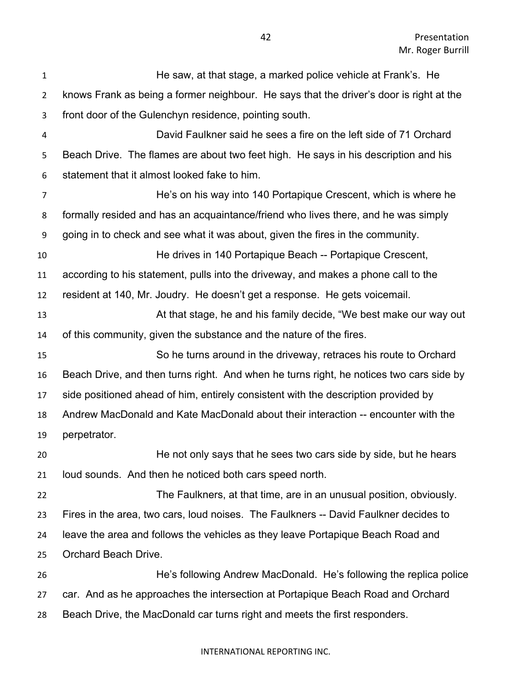| $\mathbf{1}$   | He saw, at that stage, a marked police vehicle at Frank's. He                           |
|----------------|-----------------------------------------------------------------------------------------|
| $\overline{2}$ | knows Frank as being a former neighbour. He says that the driver's door is right at the |
| 3              | front door of the Gulenchyn residence, pointing south.                                  |
| 4              | David Faulkner said he sees a fire on the left side of 71 Orchard                       |
| 5              | Beach Drive. The flames are about two feet high. He says in his description and his     |
| 6              | statement that it almost looked fake to him.                                            |
| $\overline{7}$ | He's on his way into 140 Portapique Crescent, which is where he                         |
| 8              | formally resided and has an acquaintance/friend who lives there, and he was simply      |
| 9              | going in to check and see what it was about, given the fires in the community.          |
| 10             | He drives in 140 Portapique Beach -- Portapique Crescent,                               |
| 11             | according to his statement, pulls into the driveway, and makes a phone call to the      |
| 12             | resident at 140, Mr. Joudry. He doesn't get a response. He gets voicemail.              |
| 13             | At that stage, he and his family decide, "We best make our way out                      |
| 14             | of this community, given the substance and the nature of the fires.                     |
| 15             | So he turns around in the driveway, retraces his route to Orchard                       |
| 16             | Beach Drive, and then turns right. And when he turns right, he notices two cars side by |
| 17             | side positioned ahead of him, entirely consistent with the description provided by      |
| 18             | Andrew MacDonald and Kate MacDonald about their interaction -- encounter with the       |
| 19             | perpetrator.                                                                            |
| 20             | He not only says that he sees two cars side by side, but he hears                       |
| 21             | loud sounds. And then he noticed both cars speed north.                                 |
| 22             | The Faulkners, at that time, are in an unusual position, obviously.                     |
| 23             | Fires in the area, two cars, loud noises. The Faulkners -- David Faulkner decides to    |
| 24             | leave the area and follows the vehicles as they leave Portapique Beach Road and         |
| 25             | Orchard Beach Drive.                                                                    |
| 26             | He's following Andrew MacDonald. He's following the replica police                      |
| 27             | car. And as he approaches the intersection at Portapique Beach Road and Orchard         |
| 28             | Beach Drive, the MacDonald car turns right and meets the first responders.              |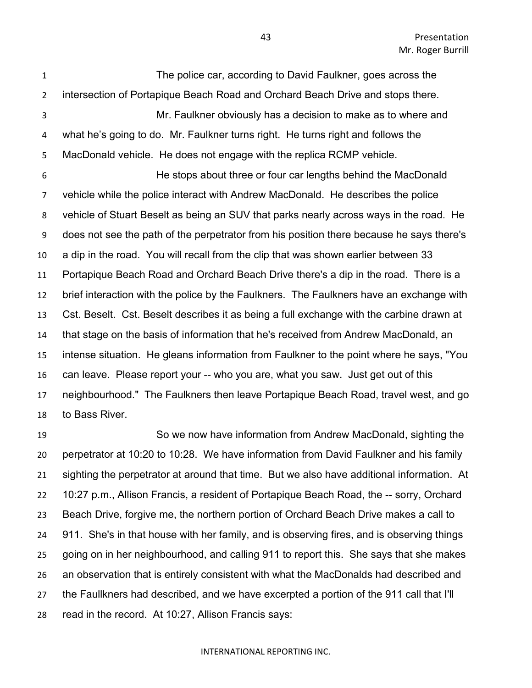The police car, according to David Faulkner, goes across the intersection of Portapique Beach Road and Orchard Beach Drive and stops there. Mr. Faulkner obviously has a decision to make as to where and what he's going to do. Mr. Faulkner turns right. He turns right and follows the MacDonald vehicle. He does not engage with the replica RCMP vehicle. He stops about three or four car lengths behind the MacDonald vehicle while the police interact with Andrew MacDonald. He describes the police vehicle of Stuart Beselt as being an SUV that parks nearly across ways in the road. He does not see the path of the perpetrator from his position there because he says there's a dip in the road. You will recall from the clip that was shown earlier between 33 Portapique Beach Road and Orchard Beach Drive there's a dip in the road. There is a brief interaction with the police by the Faulkners. The Faulkners have an exchange with Cst. Beselt. Cst. Beselt describes it as being a full exchange with the carbine drawn at that stage on the basis of information that he's received from Andrew MacDonald, an intense situation. He gleans information from Faulkner to the point where he says, "You can leave. Please report your -- who you are, what you saw. Just get out of this neighbourhood." The Faulkners then leave Portapique Beach Road, travel west, and go to Bass River.

 So we now have information from Andrew MacDonald, sighting the perpetrator at 10:20 to 10:28. We have information from David Faulkner and his family sighting the perpetrator at around that time. But we also have additional information. At 10:27 p.m., Allison Francis, a resident of Portapique Beach Road, the -- sorry, Orchard Beach Drive, forgive me, the northern portion of Orchard Beach Drive makes a call to 911. She's in that house with her family, and is observing fires, and is observing things going on in her neighbourhood, and calling 911 to report this. She says that she makes an observation that is entirely consistent with what the MacDonalds had described and the Faullkners had described, and we have excerpted a portion of the 911 call that I'll read in the record. At 10:27, Allison Francis says: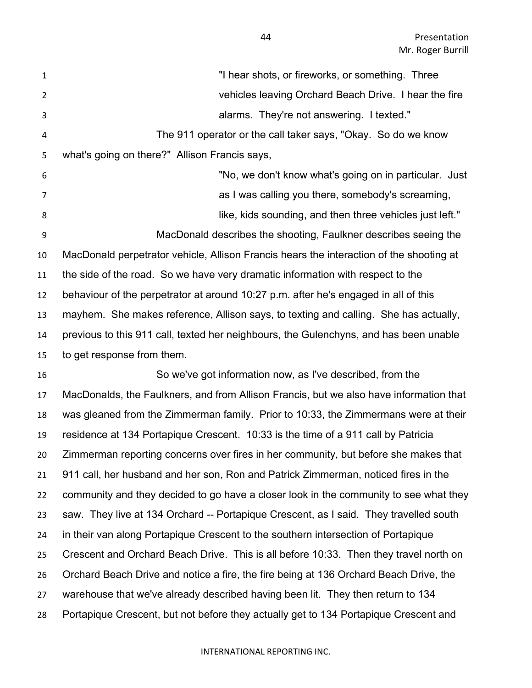| $\mathbf{1}$   | "I hear shots, or fireworks, or something. Three                                        |
|----------------|-----------------------------------------------------------------------------------------|
| $\overline{2}$ | vehicles leaving Orchard Beach Drive. I hear the fire                                   |
| 3              | alarms. They're not answering. I texted."                                               |
| 4              | The 911 operator or the call taker says, "Okay. So do we know                           |
| 5              | what's going on there?" Allison Francis says,                                           |
| 6              | "No, we don't know what's going on in particular. Just                                  |
| $\overline{7}$ | as I was calling you there, somebody's screaming,                                       |
| 8              | like, kids sounding, and then three vehicles just left."                                |
| 9              | MacDonald describes the shooting, Faulkner describes seeing the                         |
| 10             | MacDonald perpetrator vehicle, Allison Francis hears the interaction of the shooting at |
| 11             | the side of the road. So we have very dramatic information with respect to the          |
| 12             | behaviour of the perpetrator at around 10:27 p.m. after he's engaged in all of this     |
| 13             | mayhem. She makes reference, Allison says, to texting and calling. She has actually,    |
| 14             | previous to this 911 call, texted her neighbours, the Gulenchyns, and has been unable   |
| 15             | to get response from them.                                                              |
| 16             | So we've got information now, as I've described, from the                               |
| 17             | MacDonalds, the Faulkners, and from Allison Francis, but we also have information that  |
| 18             | was gleaned from the Zimmerman family. Prior to 10:33, the Zimmermans were at their     |
| 19             | residence at 134 Portapique Crescent. 10:33 is the time of a 911 call by Patricia       |
| 20             | Zimmerman reporting concerns over fires in her community, but before she makes that     |
| 21             | 911 call, her husband and her son, Ron and Patrick Zimmerman, noticed fires in the      |
| 22             | community and they decided to go have a closer look in the community to see what they   |
| 23             | saw. They live at 134 Orchard -- Portapique Crescent, as I said. They travelled south   |
| 24             | in their van along Portapique Crescent to the southern intersection of Portapique       |
| 25             | Crescent and Orchard Beach Drive. This is all before 10:33. Then they travel north on   |
| 26             | Orchard Beach Drive and notice a fire, the fire being at 136 Orchard Beach Drive, the   |
| 27             | warehouse that we've already described having been lit. They then return to 134         |
| 28             | Portapique Crescent, but not before they actually get to 134 Portapique Crescent and    |
|                |                                                                                         |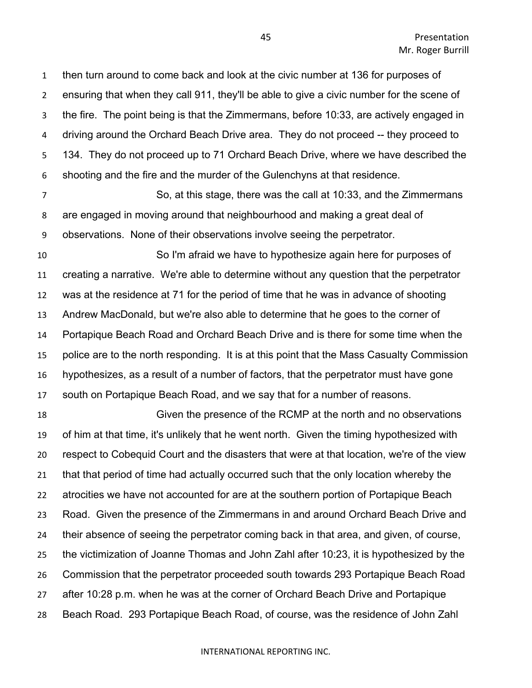then turn around to come back and look at the civic number at 136 for purposes of ensuring that when they call 911, they'll be able to give a civic number for the scene of the fire. The point being is that the Zimmermans, before 10:33, are actively engaged in driving around the Orchard Beach Drive area. They do not proceed -- they proceed to 134. They do not proceed up to 71 Orchard Beach Drive, where we have described the shooting and the fire and the murder of the Gulenchyns at that residence.

 So, at this stage, there was the call at 10:33, and the Zimmermans are engaged in moving around that neighbourhood and making a great deal of observations. None of their observations involve seeing the perpetrator.

 So I'm afraid we have to hypothesize again here for purposes of creating a narrative. We're able to determine without any question that the perpetrator was at the residence at 71 for the period of time that he was in advance of shooting Andrew MacDonald, but we're also able to determine that he goes to the corner of Portapique Beach Road and Orchard Beach Drive and is there for some time when the police are to the north responding. It is at this point that the Mass Casualty Commission hypothesizes, as a result of a number of factors, that the perpetrator must have gone south on Portapique Beach Road, and we say that for a number of reasons.

 Given the presence of the RCMP at the north and no observations of him at that time, it's unlikely that he went north. Given the timing hypothesized with respect to Cobequid Court and the disasters that were at that location, we're of the view that that period of time had actually occurred such that the only location whereby the atrocities we have not accounted for are at the southern portion of Portapique Beach Road. Given the presence of the Zimmermans in and around Orchard Beach Drive and their absence of seeing the perpetrator coming back in that area, and given, of course, the victimization of Joanne Thomas and John Zahl after 10:23, it is hypothesized by the Commission that the perpetrator proceeded south towards 293 Portapique Beach Road after 10:28 p.m. when he was at the corner of Orchard Beach Drive and Portapique Beach Road. 293 Portapique Beach Road, of course, was the residence of John Zahl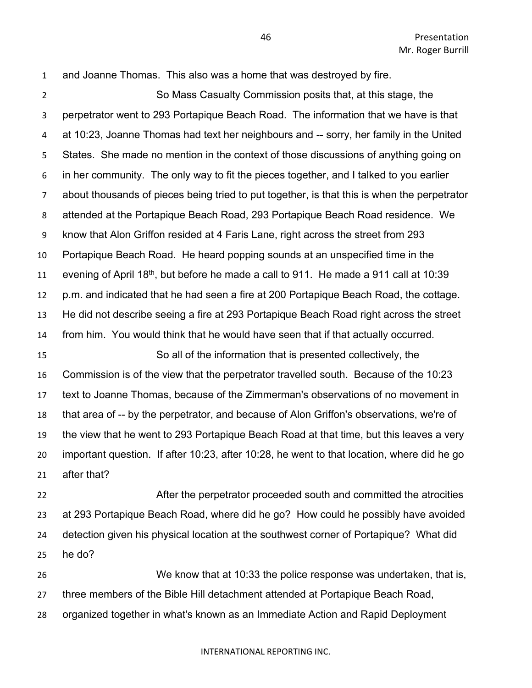and Joanne Thomas. This also was a home that was destroyed by fire.

 So Mass Casualty Commission posits that, at this stage, the perpetrator went to 293 Portapique Beach Road. The information that we have is that at 10:23, Joanne Thomas had text her neighbours and -- sorry, her family in the United States. She made no mention in the context of those discussions of anything going on in her community. The only way to fit the pieces together, and I talked to you earlier about thousands of pieces being tried to put together, is that this is when the perpetrator attended at the Portapique Beach Road, 293 Portapique Beach Road residence. We know that Alon Griffon resided at 4 Faris Lane, right across the street from 293 Portapique Beach Road. He heard popping sounds at an unspecified time in the 11 evening of April 18<sup>th</sup>, but before he made a call to 911. He made a 911 call at 10:39 p.m. and indicated that he had seen a fire at 200 Portapique Beach Road, the cottage. He did not describe seeing a fire at 293 Portapique Beach Road right across the street from him. You would think that he would have seen that if that actually occurred. So all of the information that is presented collectively, the Commission is of the view that the perpetrator travelled south. Because of the 10:23 text to Joanne Thomas, because of the Zimmerman's observations of no movement in that area of -- by the perpetrator, and because of Alon Griffon's observations, we're of the view that he went to 293 Portapique Beach Road at that time, but this leaves a very important question. If after 10:23, after 10:28, he went to that location, where did he go after that?

 After the perpetrator proceeded south and committed the atrocities at 293 Portapique Beach Road, where did he go? How could he possibly have avoided detection given his physical location at the southwest corner of Portapique? What did he do?

 We know that at 10:33 the police response was undertaken, that is, three members of the Bible Hill detachment attended at Portapique Beach Road, organized together in what's known as an Immediate Action and Rapid Deployment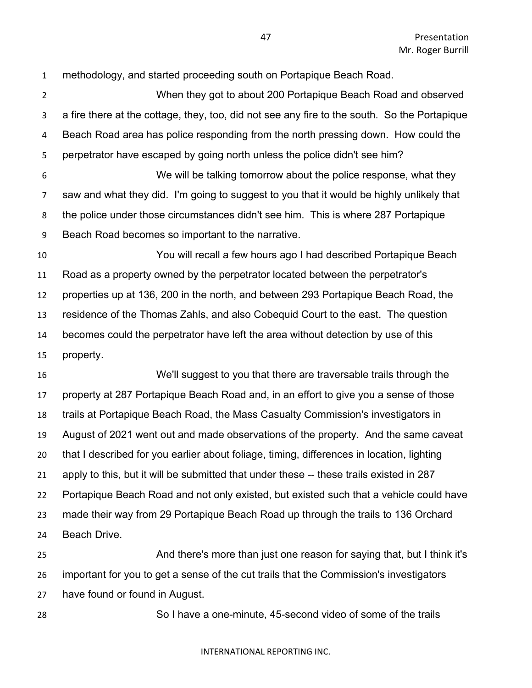methodology, and started proceeding south on Portapique Beach Road. When they got to about 200 Portapique Beach Road and observed a fire there at the cottage, they, too, did not see any fire to the south. So the Portapique Beach Road area has police responding from the north pressing down. How could the perpetrator have escaped by going north unless the police didn't see him? We will be talking tomorrow about the police response, what they saw and what they did. I'm going to suggest to you that it would be highly unlikely that the police under those circumstances didn't see him. This is where 287 Portapique Beach Road becomes so important to the narrative. You will recall a few hours ago I had described Portapique Beach Road as a property owned by the perpetrator located between the perpetrator's properties up at 136, 200 in the north, and between 293 Portapique Beach Road, the residence of the Thomas Zahls, and also Cobequid Court to the east. The question becomes could the perpetrator have left the area without detection by use of this property. We'll suggest to you that there are traversable trails through the property at 287 Portapique Beach Road and, in an effort to give you a sense of those trails at Portapique Beach Road, the Mass Casualty Commission's investigators in August of 2021 went out and made observations of the property. And the same caveat that I described for you earlier about foliage, timing, differences in location, lighting apply to this, but it will be submitted that under these -- these trails existed in 287 Portapique Beach Road and not only existed, but existed such that a vehicle could have made their way from 29 Portapique Beach Road up through the trails to 136 Orchard

Beach Drive.

 And there's more than just one reason for saying that, but I think it's important for you to get a sense of the cut trails that the Commission's investigators have found or found in August.

So I have a one-minute, 45-second video of some of the trails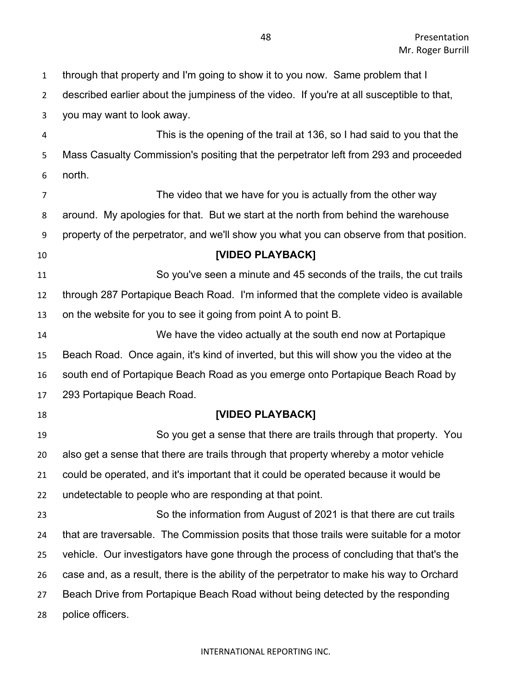through that property and I'm going to show it to you now. Same problem that I described earlier about the jumpiness of the video. If you're at all susceptible to that, you may want to look away. This is the opening of the trail at 136, so I had said to you that the Mass Casualty Commission's positing that the perpetrator left from 293 and proceeded north. 7 The video that we have for you is actually from the other way around. My apologies for that. But we start at the north from behind the warehouse property of the perpetrator, and we'll show you what you can observe from that position. **[VIDEO PLAYBACK]** So you've seen a minute and 45 seconds of the trails, the cut trails through 287 Portapique Beach Road. I'm informed that the complete video is available on the website for you to see it going from point A to point B. We have the video actually at the south end now at Portapique Beach Road. Once again, it's kind of inverted, but this will show you the video at the south end of Portapique Beach Road as you emerge onto Portapique Beach Road by 293 Portapique Beach Road. **[VIDEO PLAYBACK]** So you get a sense that there are trails through that property. You also get a sense that there are trails through that property whereby a motor vehicle could be operated, and it's important that it could be operated because it would be undetectable to people who are responding at that point. So the information from August of 2021 is that there are cut trails that are traversable. The Commission posits that those trails were suitable for a motor vehicle. Our investigators have gone through the process of concluding that that's the case and, as a result, there is the ability of the perpetrator to make his way to Orchard Beach Drive from Portapique Beach Road without being detected by the responding police officers.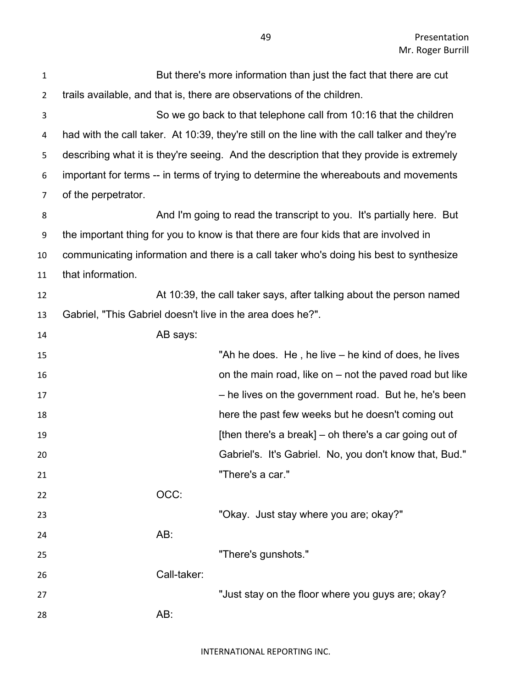| $\mathbf{1}$   | But there's more information than just the fact that there are cut                            |
|----------------|-----------------------------------------------------------------------------------------------|
| $\overline{2}$ | trails available, and that is, there are observations of the children.                        |
| 3              | So we go back to that telephone call from 10:16 that the children                             |
| 4              | had with the call taker. At 10:39, they're still on the line with the call talker and they're |
| 5              | describing what it is they're seeing. And the description that they provide is extremely      |
| 6              | important for terms -- in terms of trying to determine the whereabouts and movements          |
| $\overline{7}$ | of the perpetrator.                                                                           |
| 8              | And I'm going to read the transcript to you. It's partially here. But                         |
| 9              | the important thing for you to know is that there are four kids that are involved in          |
| 10             | communicating information and there is a call taker who's doing his best to synthesize        |
| 11             | that information.                                                                             |
| 12             | At 10:39, the call taker says, after talking about the person named                           |
| 13             | Gabriel, "This Gabriel doesn't live in the area does he?".                                    |
| 14             | AB says:                                                                                      |
| 15             | "Ah he does. He, he live – he kind of does, he lives                                          |
| 16             | on the main road, like on $-$ not the paved road but like                                     |
| 17             | - he lives on the government road. But he, he's been                                          |
| 18             | here the past few weeks but he doesn't coming out                                             |
| 19             | [then there's a break] – oh there's a car going out of                                        |
| 20             | Gabriel's. It's Gabriel. No, you don't know that, Bud."                                       |
| 21             | "There's a car."                                                                              |
| 22             | OCC:                                                                                          |
| 23             | "Okay. Just stay where you are; okay?"                                                        |
| 24             | AB:                                                                                           |
| 25             | "There's gunshots."                                                                           |
| 26             | Call-taker:                                                                                   |
| 27             | "Just stay on the floor where you guys are; okay?                                             |
| 28             | AB:                                                                                           |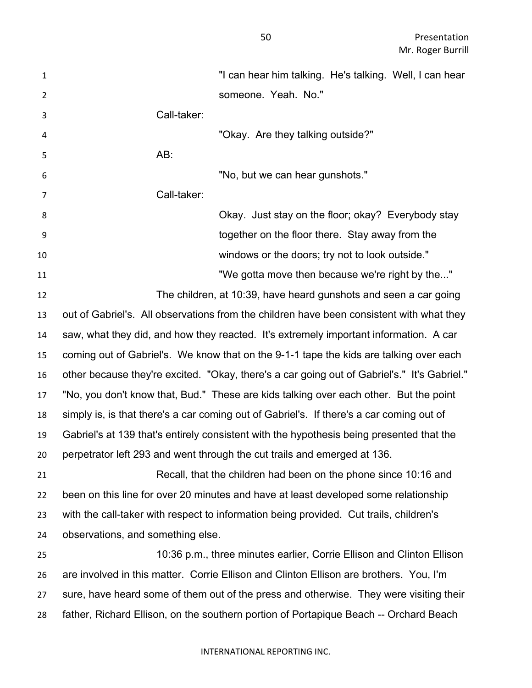| 1              | "I can hear him talking. He's talking. Well, I can hear                                     |
|----------------|---------------------------------------------------------------------------------------------|
| $\overline{2}$ | someone. Yeah. No."                                                                         |
| 3              | Call-taker:                                                                                 |
| 4              | "Okay. Are they talking outside?"                                                           |
| 5              | AB:                                                                                         |
| 6              | "No, but we can hear gunshots."                                                             |
| 7              | Call-taker:                                                                                 |
| 8              | Okay. Just stay on the floor; okay? Everybody stay                                          |
| 9              | together on the floor there. Stay away from the                                             |
| 10             | windows or the doors; try not to look outside."                                             |
| 11             | "We gotta move then because we're right by the"                                             |
| 12             | The children, at 10:39, have heard gunshots and seen a car going                            |
| 13             | out of Gabriel's. All observations from the children have been consistent with what they    |
| 14             | saw, what they did, and how they reacted. It's extremely important information. A car       |
| 15             | coming out of Gabriel's. We know that on the 9-1-1 tape the kids are talking over each      |
| 16             | other because they're excited. "Okay, there's a car going out of Gabriel's." It's Gabriel." |
| 17             | "No, you don't know that, Bud." These are kids talking over each other. But the point       |
| 18             | simply is, is that there's a car coming out of Gabriel's. If there's a car coming out of    |
| 19             | Gabriel's at 139 that's entirely consistent with the hypothesis being presented that the    |
| 20             | perpetrator left 293 and went through the cut trails and emerged at 136                     |
| 21             | Recall, that the children had been on the phone since 10:16 and                             |
| 22             | been on this line for over 20 minutes and have at least developed some relationship         |
| 23             | with the call-taker with respect to information being provided. Cut trails, children's      |
| 24             | observations, and something else.                                                           |
| 25             | 10:36 p.m., three minutes earlier, Corrie Ellison and Clinton Ellison                       |
| 26             | are involved in this matter. Corrie Ellison and Clinton Ellison are brothers. You, I'm      |
| 27             | sure, have heard some of them out of the press and otherwise. They were visiting their      |
| 28             | father, Richard Ellison, on the southern portion of Portapique Beach -- Orchard Beach       |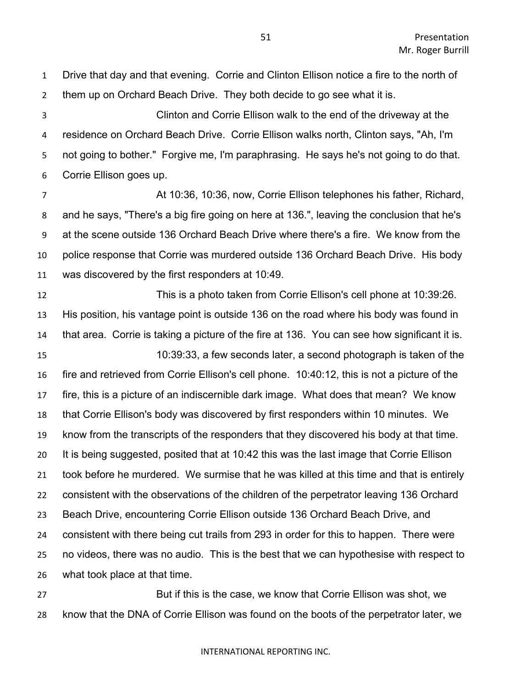Drive that day and that evening. Corrie and Clinton Ellison notice a fire to the north of them up on Orchard Beach Drive. They both decide to go see what it is.

 Clinton and Corrie Ellison walk to the end of the driveway at the residence on Orchard Beach Drive. Corrie Ellison walks north, Clinton says, "Ah, I'm not going to bother." Forgive me, I'm paraphrasing. He says he's not going to do that. Corrie Ellison goes up.

 At 10:36, 10:36, now, Corrie Ellison telephones his father, Richard, and he says, "There's a big fire going on here at 136.", leaving the conclusion that he's at the scene outside 136 Orchard Beach Drive where there's a fire. We know from the police response that Corrie was murdered outside 136 Orchard Beach Drive. His body was discovered by the first responders at 10:49.

 This is a photo taken from Corrie Ellison's cell phone at 10:39:26. His position, his vantage point is outside 136 on the road where his body was found in that area. Corrie is taking a picture of the fire at 136. You can see how significant it is. 10:39:33, a few seconds later, a second photograph is taken of the fire and retrieved from Corrie Ellison's cell phone. 10:40:12, this is not a picture of the fire, this is a picture of an indiscernible dark image. What does that mean? We know that Corrie Ellison's body was discovered by first responders within 10 minutes. We know from the transcripts of the responders that they discovered his body at that time. It is being suggested, posited that at 10:42 this was the last image that Corrie Ellison took before he murdered. We surmise that he was killed at this time and that is entirely consistent with the observations of the children of the perpetrator leaving 136 Orchard Beach Drive, encountering Corrie Ellison outside 136 Orchard Beach Drive, and consistent with there being cut trails from 293 in order for this to happen. There were no videos, there was no audio. This is the best that we can hypothesise with respect to what took place at that time.

 But if this is the case, we know that Corrie Ellison was shot, we know that the DNA of Corrie Ellison was found on the boots of the perpetrator later, we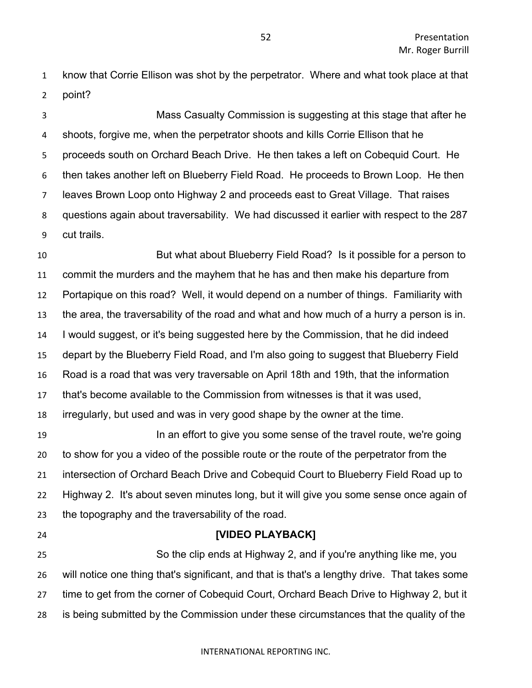know that Corrie Ellison was shot by the perpetrator. Where and what took place at that point?

 Mass Casualty Commission is suggesting at this stage that after he shoots, forgive me, when the perpetrator shoots and kills Corrie Ellison that he proceeds south on Orchard Beach Drive. He then takes a left on Cobequid Court. He then takes another left on Blueberry Field Road. He proceeds to Brown Loop. He then leaves Brown Loop onto Highway 2 and proceeds east to Great Village. That raises questions again about traversability. We had discussed it earlier with respect to the 287 cut trails.

 But what about Blueberry Field Road? Is it possible for a person to commit the murders and the mayhem that he has and then make his departure from Portapique on this road? Well, it would depend on a number of things. Familiarity with the area, the traversability of the road and what and how much of a hurry a person is in. I would suggest, or it's being suggested here by the Commission, that he did indeed depart by the Blueberry Field Road, and I'm also going to suggest that Blueberry Field Road is a road that was very traversable on April 18th and 19th, that the information that's become available to the Commission from witnesses is that it was used, irregularly, but used and was in very good shape by the owner at the time.

**In an effort to give you some sense of the travel route, we're going**  to show for you a video of the possible route or the route of the perpetrator from the intersection of Orchard Beach Drive and Cobequid Court to Blueberry Field Road up to Highway 2. It's about seven minutes long, but it will give you some sense once again of the topography and the traversability of the road.

### **[VIDEO PLAYBACK]**

 So the clip ends at Highway 2, and if you're anything like me, you will notice one thing that's significant, and that is that's a lengthy drive. That takes some time to get from the corner of Cobequid Court, Orchard Beach Drive to Highway 2, but it is being submitted by the Commission under these circumstances that the quality of the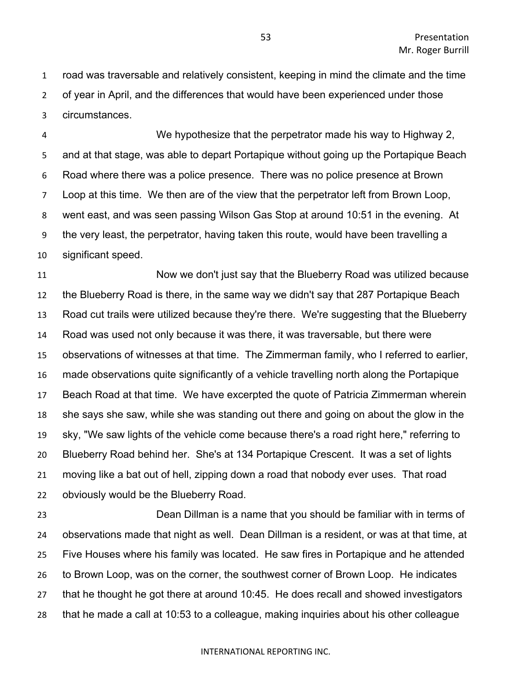road was traversable and relatively consistent, keeping in mind the climate and the time of year in April, and the differences that would have been experienced under those circumstances.

 We hypothesize that the perpetrator made his way to Highway 2, and at that stage, was able to depart Portapique without going up the Portapique Beach Road where there was a police presence. There was no police presence at Brown Loop at this time. We then are of the view that the perpetrator left from Brown Loop, went east, and was seen passing Wilson Gas Stop at around 10:51 in the evening. At the very least, the perpetrator, having taken this route, would have been travelling a significant speed.

 Now we don't just say that the Blueberry Road was utilized because the Blueberry Road is there, in the same way we didn't say that 287 Portapique Beach Road cut trails were utilized because they're there. We're suggesting that the Blueberry Road was used not only because it was there, it was traversable, but there were observations of witnesses at that time. The Zimmerman family, who I referred to earlier, made observations quite significantly of a vehicle travelling north along the Portapique Beach Road at that time. We have excerpted the quote of Patricia Zimmerman wherein she says she saw, while she was standing out there and going on about the glow in the sky, "We saw lights of the vehicle come because there's a road right here," referring to Blueberry Road behind her. She's at 134 Portapique Crescent. It was a set of lights moving like a bat out of hell, zipping down a road that nobody ever uses. That road obviously would be the Blueberry Road.

 Dean Dillman is a name that you should be familiar with in terms of observations made that night as well. Dean Dillman is a resident, or was at that time, at Five Houses where his family was located. He saw fires in Portapique and he attended to Brown Loop, was on the corner, the southwest corner of Brown Loop. He indicates that he thought he got there at around 10:45. He does recall and showed investigators that he made a call at 10:53 to a colleague, making inquiries about his other colleague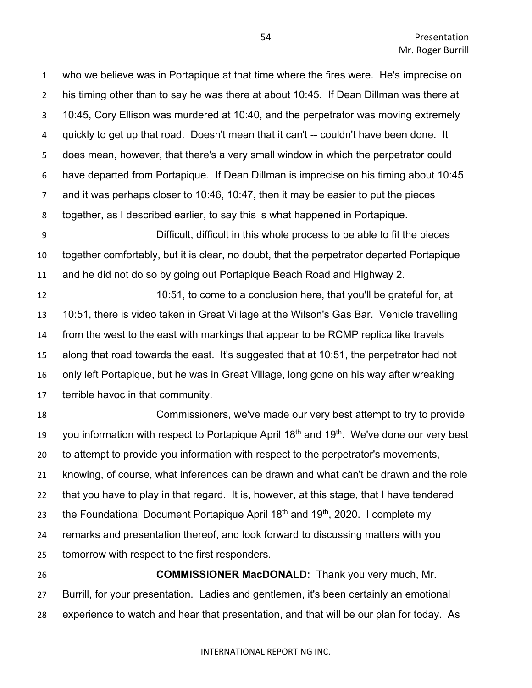who we believe was in Portapique at that time where the fires were. He's imprecise on his timing other than to say he was there at about 10:45. If Dean Dillman was there at 10:45, Cory Ellison was murdered at 10:40, and the perpetrator was moving extremely quickly to get up that road. Doesn't mean that it can't -- couldn't have been done. It does mean, however, that there's a very small window in which the perpetrator could have departed from Portapique. If Dean Dillman is imprecise on his timing about 10:45 and it was perhaps closer to 10:46, 10:47, then it may be easier to put the pieces together, as I described earlier, to say this is what happened in Portapique.

 Difficult, difficult in this whole process to be able to fit the pieces together comfortably, but it is clear, no doubt, that the perpetrator departed Portapique and he did not do so by going out Portapique Beach Road and Highway 2.

 10:51, to come to a conclusion here, that you'll be grateful for, at 10:51, there is video taken in Great Village at the Wilson's Gas Bar. Vehicle travelling from the west to the east with markings that appear to be RCMP replica like travels along that road towards the east. It's suggested that at 10:51, the perpetrator had not only left Portapique, but he was in Great Village, long gone on his way after wreaking terrible havoc in that community.

 Commissioners, we've made our very best attempt to try to provide 19 you information with respect to Portapique April  $18<sup>th</sup>$  and  $19<sup>th</sup>$ . We've done our very best to attempt to provide you information with respect to the perpetrator's movements, knowing, of course, what inferences can be drawn and what can't be drawn and the role that you have to play in that regard. It is, however, at this stage, that I have tendered 23 the Foundational Document Portapique April  $18<sup>th</sup>$  and  $19<sup>th</sup>$ , 2020. I complete my remarks and presentation thereof, and look forward to discussing matters with you tomorrow with respect to the first responders.

 **COMMISSIONER MacDONALD:** Thank you very much, Mr. Burrill, for your presentation. Ladies and gentlemen, it's been certainly an emotional experience to watch and hear that presentation, and that will be our plan for today. As